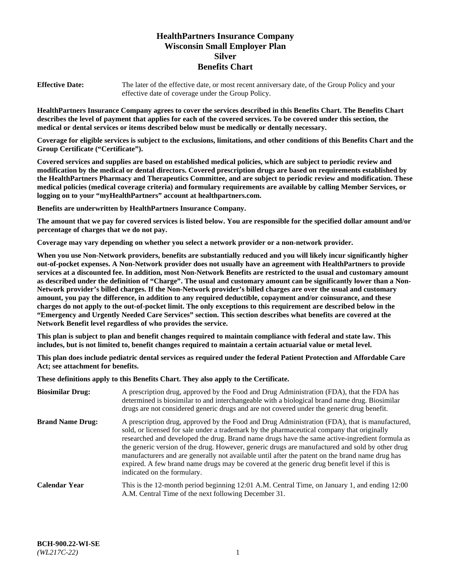# **HealthPartners Insurance Company Wisconsin Small Employer Plan Silver Benefits Chart**

**Effective Date:** The later of the effective date, or most recent anniversary date, of the Group Policy and your effective date of coverage under the Group Policy.

**HealthPartners Insurance Company agrees to cover the services described in this Benefits Chart. The Benefits Chart describes the level of payment that applies for each of the covered services. To be covered under this section, the medical or dental services or items described below must be medically or dentally necessary.**

**Coverage for eligible services is subject to the exclusions, limitations, and other conditions of this Benefits Chart and the Group Certificate ("Certificate").**

**Covered services and supplies are based on established medical policies, which are subject to periodic review and modification by the medical or dental directors. Covered prescription drugs are based on requirements established by the HealthPartners Pharmacy and Therapeutics Committee, and are subject to periodic review and modification. These medical policies (medical coverage criteria) and formulary requirements are available by calling Member Services, or logging on to your "myHealthPartners" account at [healthpartners.com.](https://www.healthpartners.com/hp/index.html)** 

**Benefits are underwritten by HealthPartners Insurance Company.**

**The amount that we pay for covered services is listed below. You are responsible for the specified dollar amount and/or percentage of charges that we do not pay.**

**Coverage may vary depending on whether you select a network provider or a non-network provider.**

**When you use Non-Network providers, benefits are substantially reduced and you will likely incur significantly higher out-of-pocket expenses. A Non-Network provider does not usually have an agreement with HealthPartners to provide services at a discounted fee. In addition, most Non-Network Benefits are restricted to the usual and customary amount as described under the definition of "Charge". The usual and customary amount can be significantly lower than a Non-Network provider's billed charges. If the Non-Network provider's billed charges are over the usual and customary amount, you pay the difference, in addition to any required deductible, copayment and/or coinsurance, and these charges do not apply to the out-of-pocket limit. The only exceptions to this requirement are described below in the "Emergency and Urgently Needed Care Services" section. This section describes what benefits are covered at the Network Benefit level regardless of who provides the service.**

**This plan is subject to plan and benefit changes required to maintain compliance with federal and state law. This includes, but is not limited to, benefit changes required to maintain a certain actuarial value or metal level.**

**This plan does include pediatric dental services as required under the federal Patient Protection and Affordable Care Act; see attachment for benefits.**

**These definitions apply to this Benefits Chart. They also apply to the Certificate.**

| <b>Biosimilar Drug:</b> | A prescription drug, approved by the Food and Drug Administration (FDA), that the FDA has<br>determined is biosimilar to and interchangeable with a biological brand name drug. Biosimilar<br>drugs are not considered generic drugs and are not covered under the generic drug benefit.                                                                                                                                                                                                                                                                                                                                           |
|-------------------------|------------------------------------------------------------------------------------------------------------------------------------------------------------------------------------------------------------------------------------------------------------------------------------------------------------------------------------------------------------------------------------------------------------------------------------------------------------------------------------------------------------------------------------------------------------------------------------------------------------------------------------|
| <b>Brand Name Drug:</b> | A prescription drug, approved by the Food and Drug Administration (FDA), that is manufactured,<br>sold, or licensed for sale under a trademark by the pharmaceutical company that originally<br>researched and developed the drug. Brand name drugs have the same active-ingredient formula as<br>the generic version of the drug. However, generic drugs are manufactured and sold by other drug<br>manufacturers and are generally not available until after the patent on the brand name drug has<br>expired. A few brand name drugs may be covered at the generic drug benefit level if this is<br>indicated on the formulary. |
| <b>Calendar Year</b>    | This is the 12-month period beginning 12:01 A.M. Central Time, on January 1, and ending 12:00<br>A.M. Central Time of the next following December 31.                                                                                                                                                                                                                                                                                                                                                                                                                                                                              |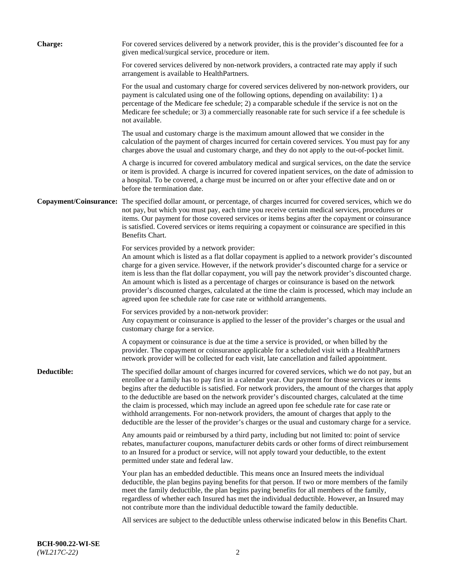| <b>Charge:</b> | For covered services delivered by a network provider, this is the provider's discounted fee for a<br>given medical/surgical service, procedure or item.                                                                                                                                                                                                                                                                                                                                                                                                                                                                                                                                                                 |
|----------------|-------------------------------------------------------------------------------------------------------------------------------------------------------------------------------------------------------------------------------------------------------------------------------------------------------------------------------------------------------------------------------------------------------------------------------------------------------------------------------------------------------------------------------------------------------------------------------------------------------------------------------------------------------------------------------------------------------------------------|
|                | For covered services delivered by non-network providers, a contracted rate may apply if such<br>arrangement is available to HealthPartners.                                                                                                                                                                                                                                                                                                                                                                                                                                                                                                                                                                             |
|                | For the usual and customary charge for covered services delivered by non-network providers, our<br>payment is calculated using one of the following options, depending on availability: 1) a<br>percentage of the Medicare fee schedule; 2) a comparable schedule if the service is not on the<br>Medicare fee schedule; or 3) a commercially reasonable rate for such service if a fee schedule is<br>not available.                                                                                                                                                                                                                                                                                                   |
|                | The usual and customary charge is the maximum amount allowed that we consider in the<br>calculation of the payment of charges incurred for certain covered services. You must pay for any<br>charges above the usual and customary charge, and they do not apply to the out-of-pocket limit.                                                                                                                                                                                                                                                                                                                                                                                                                            |
|                | A charge is incurred for covered ambulatory medical and surgical services, on the date the service<br>or item is provided. A charge is incurred for covered inpatient services, on the date of admission to<br>a hospital. To be covered, a charge must be incurred on or after your effective date and on or<br>before the termination date.                                                                                                                                                                                                                                                                                                                                                                           |
|                | Copayment/Coinsurance: The specified dollar amount, or percentage, of charges incurred for covered services, which we do<br>not pay, but which you must pay, each time you receive certain medical services, procedures or<br>items. Our payment for those covered services or items begins after the copayment or coinsurance<br>is satisfied. Covered services or items requiring a copayment or coinsurance are specified in this<br>Benefits Chart.                                                                                                                                                                                                                                                                 |
|                | For services provided by a network provider:<br>An amount which is listed as a flat dollar copayment is applied to a network provider's discounted<br>charge for a given service. However, if the network provider's discounted charge for a service or<br>item is less than the flat dollar copayment, you will pay the network provider's discounted charge.<br>An amount which is listed as a percentage of charges or coinsurance is based on the network<br>provider's discounted charges, calculated at the time the claim is processed, which may include an<br>agreed upon fee schedule rate for case rate or withhold arrangements.                                                                            |
|                | For services provided by a non-network provider:<br>Any copayment or coinsurance is applied to the lesser of the provider's charges or the usual and<br>customary charge for a service.                                                                                                                                                                                                                                                                                                                                                                                                                                                                                                                                 |
|                | A copayment or coinsurance is due at the time a service is provided, or when billed by the<br>provider. The copayment or coinsurance applicable for a scheduled visit with a HealthPartners<br>network provider will be collected for each visit, late cancellation and failed appointment.                                                                                                                                                                                                                                                                                                                                                                                                                             |
| Deductible:    | The specified dollar amount of charges incurred for covered services, which we do not pay, but an<br>enrollee or a family has to pay first in a calendar year. Our payment for those services or items<br>begins after the deductible is satisfied. For network providers, the amount of the charges that apply<br>to the deductible are based on the network provider's discounted charges, calculated at the time<br>the claim is processed, which may include an agreed upon fee schedule rate for case rate or<br>withhold arrangements. For non-network providers, the amount of charges that apply to the<br>deductible are the lesser of the provider's charges or the usual and customary charge for a service. |
|                | Any amounts paid or reimbursed by a third party, including but not limited to: point of service<br>rebates, manufacturer coupons, manufacturer debits cards or other forms of direct reimbursement<br>to an Insured for a product or service, will not apply toward your deductible, to the extent<br>permitted under state and federal law.                                                                                                                                                                                                                                                                                                                                                                            |
|                | Your plan has an embedded deductible. This means once an Insured meets the individual<br>deductible, the plan begins paying benefits for that person. If two or more members of the family<br>meet the family deductible, the plan begins paying benefits for all members of the family,<br>regardless of whether each Insured has met the individual deductible. However, an Insured may<br>not contribute more than the individual deductible toward the family deductible.                                                                                                                                                                                                                                           |
|                | All services are subject to the deductible unless otherwise indicated below in this Benefits Chart.                                                                                                                                                                                                                                                                                                                                                                                                                                                                                                                                                                                                                     |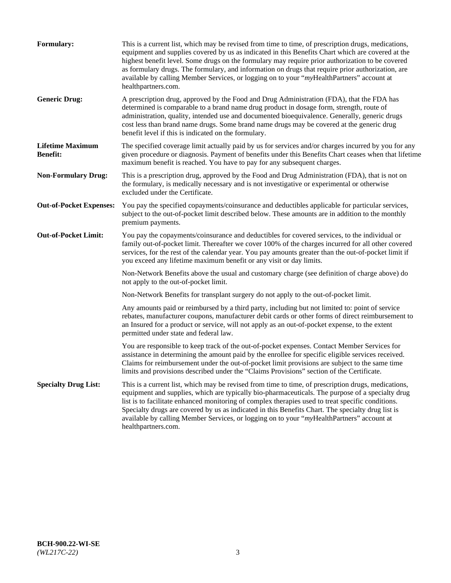| <b>Formulary:</b>                          | This is a current list, which may be revised from time to time, of prescription drugs, medications,<br>equipment and supplies covered by us as indicated in this Benefits Chart which are covered at the<br>highest benefit level. Some drugs on the formulary may require prior authorization to be covered<br>as formulary drugs. The formulary, and information on drugs that require prior authorization, are<br>available by calling Member Services, or logging on to your "myHealthPartners" account at<br>healthpartners.com. |
|--------------------------------------------|---------------------------------------------------------------------------------------------------------------------------------------------------------------------------------------------------------------------------------------------------------------------------------------------------------------------------------------------------------------------------------------------------------------------------------------------------------------------------------------------------------------------------------------|
| <b>Generic Drug:</b>                       | A prescription drug, approved by the Food and Drug Administration (FDA), that the FDA has<br>determined is comparable to a brand name drug product in dosage form, strength, route of<br>administration, quality, intended use and documented bioequivalence. Generally, generic drugs<br>cost less than brand name drugs. Some brand name drugs may be covered at the generic drug<br>benefit level if this is indicated on the formulary.                                                                                           |
| <b>Lifetime Maximum</b><br><b>Benefit:</b> | The specified coverage limit actually paid by us for services and/or charges incurred by you for any<br>given procedure or diagnosis. Payment of benefits under this Benefits Chart ceases when that lifetime<br>maximum benefit is reached. You have to pay for any subsequent charges.                                                                                                                                                                                                                                              |
| <b>Non-Formulary Drug:</b>                 | This is a prescription drug, approved by the Food and Drug Administration (FDA), that is not on<br>the formulary, is medically necessary and is not investigative or experimental or otherwise<br>excluded under the Certificate.                                                                                                                                                                                                                                                                                                     |
| <b>Out-of-Pocket Expenses:</b>             | You pay the specified copayments/coinsurance and deductibles applicable for particular services,<br>subject to the out-of-pocket limit described below. These amounts are in addition to the monthly<br>premium payments.                                                                                                                                                                                                                                                                                                             |
| <b>Out-of-Pocket Limit:</b>                | You pay the copayments/coinsurance and deductibles for covered services, to the individual or<br>family out-of-pocket limit. Thereafter we cover 100% of the charges incurred for all other covered<br>services, for the rest of the calendar year. You pay amounts greater than the out-of-pocket limit if<br>you exceed any lifetime maximum benefit or any visit or day limits.                                                                                                                                                    |
|                                            | Non-Network Benefits above the usual and customary charge (see definition of charge above) do<br>not apply to the out-of-pocket limit.                                                                                                                                                                                                                                                                                                                                                                                                |
|                                            | Non-Network Benefits for transplant surgery do not apply to the out-of-pocket limit.                                                                                                                                                                                                                                                                                                                                                                                                                                                  |
|                                            | Any amounts paid or reimbursed by a third party, including but not limited to: point of service<br>rebates, manufacturer coupons, manufacturer debit cards or other forms of direct reimbursement to<br>an Insured for a product or service, will not apply as an out-of-pocket expense, to the extent<br>permitted under state and federal law.                                                                                                                                                                                      |
|                                            | You are responsible to keep track of the out-of-pocket expenses. Contact Member Services for<br>assistance in determining the amount paid by the enrollee for specific eligible services received.<br>Claims for reimbursement under the out-of-pocket limit provisions are subject to the same time<br>limits and provisions described under the "Claims Provisions" section of the Certificate.                                                                                                                                     |
| <b>Specialty Drug List:</b>                | This is a current list, which may be revised from time to time, of prescription drugs, medications,<br>equipment and supplies, which are typically bio-pharmaceuticals. The purpose of a specialty drug<br>list is to facilitate enhanced monitoring of complex therapies used to treat specific conditions.<br>Specialty drugs are covered by us as indicated in this Benefits Chart. The specialty drug list is<br>available by calling Member Services, or logging on to your "myHealthPartners" account at<br>healthpartners.com. |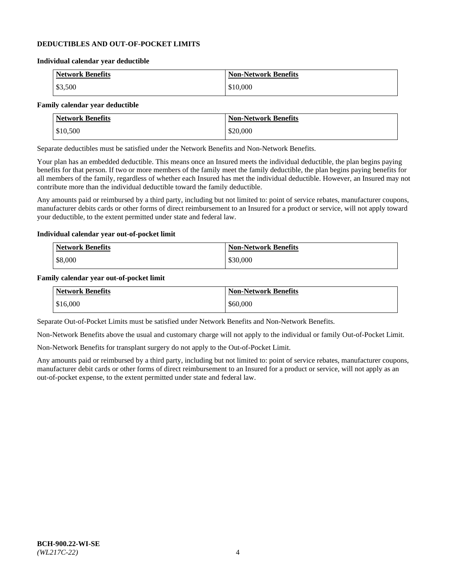### **DEDUCTIBLES AND OUT-OF-POCKET LIMITS**

#### **Individual calendar year deductible**

| <b>Network Benefits</b> | <b>Non-Network Benefits</b> |
|-------------------------|-----------------------------|
| \$3,500                 | \$10,000                    |

## **Family calendar year deductible**

| <b>Network Benefits</b> | <b>Non-Network Benefits</b> |
|-------------------------|-----------------------------|
| \$10,500                | \$20,000                    |

Separate deductibles must be satisfied under the Network Benefits and Non-Network Benefits.

Your plan has an embedded deductible. This means once an Insured meets the individual deductible, the plan begins paying benefits for that person. If two or more members of the family meet the family deductible, the plan begins paying benefits for all members of the family, regardless of whether each Insured has met the individual deductible. However, an Insured may not contribute more than the individual deductible toward the family deductible.

Any amounts paid or reimbursed by a third party, including but not limited to: point of service rebates, manufacturer coupons, manufacturer debits cards or other forms of direct reimbursement to an Insured for a product or service, will not apply toward your deductible, to the extent permitted under state and federal law.

#### **Individual calendar year out-of-pocket limit**

| <b>Network Benefits</b> | <b>Non-Network Benefits</b> |
|-------------------------|-----------------------------|
| \$8,000                 | \$30,000                    |

#### **Family calendar year out-of-pocket limit**

| <b>Network Benefits</b> | <b>Non-Network Benefits</b> |
|-------------------------|-----------------------------|
| \$16,000                | \$60,000                    |

Separate Out-of-Pocket Limits must be satisfied under Network Benefits and Non-Network Benefits.

Non-Network Benefits above the usual and customary charge will not apply to the individual or family Out-of-Pocket Limit.

Non-Network Benefits for transplant surgery do not apply to the Out-of-Pocket Limit.

Any amounts paid or reimbursed by a third party, including but not limited to: point of service rebates, manufacturer coupons, manufacturer debit cards or other forms of direct reimbursement to an Insured for a product or service, will not apply as an out-of-pocket expense, to the extent permitted under state and federal law.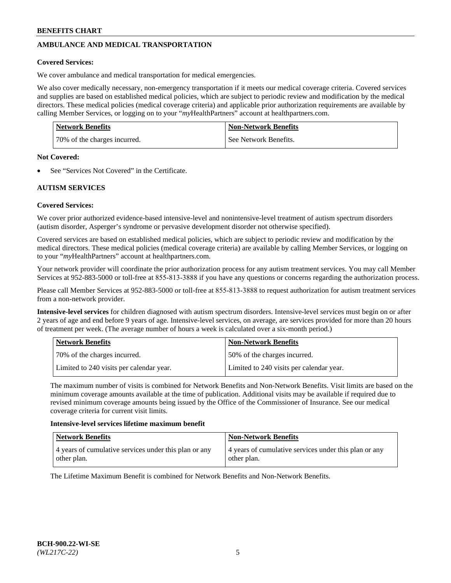## **AMBULANCE AND MEDICAL TRANSPORTATION**

### **Covered Services:**

We cover ambulance and medical transportation for medical emergencies.

We also cover medically necessary, non-emergency transportation if it meets our medical coverage criteria. Covered services and supplies are based on established medical policies, which are subject to periodic review and modification by the medical directors. These medical policies (medical coverage criteria) and applicable prior authorization requirements are available by calling Member Services, or logging on to your "*my*HealthPartners" account a[t healthpartners.com.](https://www.healthpartners.com/hp/index.html)

| <b>Network Benefits</b>      | <b>Non-Network Benefits</b> |
|------------------------------|-----------------------------|
| 70% of the charges incurred. | See Network Benefits.       |

#### **Not Covered:**

See "Services Not Covered" in the Certificate.

## **AUTISM SERVICES**

## **Covered Services:**

We cover prior authorized evidence-based intensive-level and nonintensive-level treatment of autism spectrum disorders (autism disorder, Asperger's syndrome or pervasive development disorder not otherwise specified).

Covered services are based on established medical policies, which are subject to periodic review and modification by the medical directors. These medical policies (medical coverage criteria) are available by calling Member Services, or logging on to your "*my*HealthPartners" account at [healthpartners.com.](https://www.healthpartners.com/hp/index.html)

Your network provider will coordinate the prior authorization process for any autism treatment services. You may call Member Services at 952-883-5000 or toll-free at 855-813-3888 if you have any questions or concerns regarding the authorization process.

Please call Member Services at 952-883-5000 or toll-free at 855-813-3888 to request authorization for autism treatment services from a non-network provider.

**Intensive-level services** for children diagnosed with autism spectrum disorders. Intensive-level services must begin on or after 2 years of age and end before 9 years of age. Intensive-level services, on average, are services provided for more than 20 hours of treatment per week. (The average number of hours a week is calculated over a six-month period.)

| Network Benefits                         | <b>Non-Network Benefits</b>              |
|------------------------------------------|------------------------------------------|
| 70% of the charges incurred.             | 50% of the charges incurred.             |
| Limited to 240 visits per calendar year. | Limited to 240 visits per calendar year. |

The maximum number of visits is combined for Network Benefits and Non-Network Benefits. Visit limits are based on the minimum coverage amounts available at the time of publication. Additional visits may be available if required due to revised minimum coverage amounts being issued by the Office of the Commissioner of Insurance. See our medical coverage criteria for current visit limits.

#### **Intensive-level services lifetime maximum benefit**

| Network Benefits                                                     | <b>Non-Network Benefits</b>                                          |
|----------------------------------------------------------------------|----------------------------------------------------------------------|
| 4 years of cumulative services under this plan or any<br>other plan. | 4 years of cumulative services under this plan or any<br>other plan. |

The Lifetime Maximum Benefit is combined for Network Benefits and Non-Network Benefits.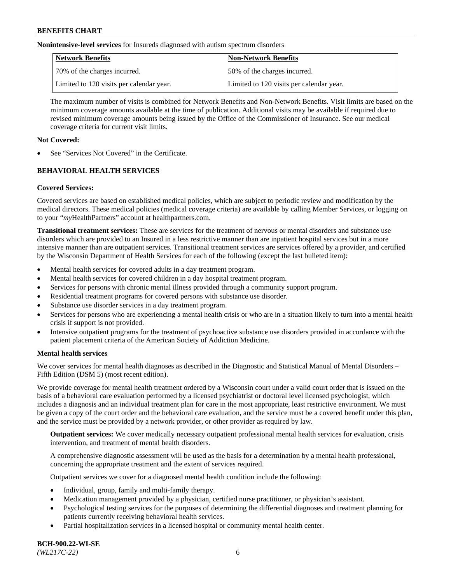**Nonintensive-level services** for Insureds diagnosed with autism spectrum disorders

| Network Benefits                         | <b>Non-Network Benefits</b>              |
|------------------------------------------|------------------------------------------|
| 70% of the charges incurred.             | 50% of the charges incurred.             |
| Limited to 120 visits per calendar year. | Limited to 120 visits per calendar year. |

The maximum number of visits is combined for Network Benefits and Non-Network Benefits. Visit limits are based on the minimum coverage amounts available at the time of publication. Additional visits may be available if required due to revised minimum coverage amounts being issued by the Office of the Commissioner of Insurance. See our medical coverage criteria for current visit limits.

## **Not Covered:**

See "Services Not Covered" in the Certificate.

## **BEHAVIORAL HEALTH SERVICES**

## **Covered Services:**

Covered services are based on established medical policies, which are subject to periodic review and modification by the medical directors. These medical policies (medical coverage criteria) are available by calling Member Services, or logging on to your "*my*HealthPartners" account at [healthpartners.com.](https://www.healthpartners.com/hp/index.html)

**Transitional treatment services:** These are services for the treatment of nervous or mental disorders and substance use disorders which are provided to an Insured in a less restrictive manner than are inpatient hospital services but in a more intensive manner than are outpatient services. Transitional treatment services are services offered by a provider, and certified by the Wisconsin Department of Health Services for each of the following (except the last bulleted item):

- Mental health services for covered adults in a day treatment program.
- Mental health services for covered children in a day hospital treatment program.
- Services for persons with chronic mental illness provided through a community support program.
- Residential treatment programs for covered persons with substance use disorder.
- Substance use disorder services in a day treatment program.
- Services for persons who are experiencing a mental health crisis or who are in a situation likely to turn into a mental health crisis if support is not provided.
- Intensive outpatient programs for the treatment of psychoactive substance use disorders provided in accordance with the patient placement criteria of the American Society of Addiction Medicine.

## **Mental health services**

We cover services for mental health diagnoses as described in the Diagnostic and Statistical Manual of Mental Disorders – Fifth Edition (DSM 5) (most recent edition).

We provide coverage for mental health treatment ordered by a Wisconsin court under a valid court order that is issued on the basis of a behavioral care evaluation performed by a licensed psychiatrist or doctoral level licensed psychologist, which includes a diagnosis and an individual treatment plan for care in the most appropriate, least restrictive environment. We must be given a copy of the court order and the behavioral care evaluation, and the service must be a covered benefit under this plan, and the service must be provided by a network provider, or other provider as required by law.

**Outpatient services:** We cover medically necessary outpatient professional mental health services for evaluation, crisis intervention, and treatment of mental health disorders.

A comprehensive diagnostic assessment will be used as the basis for a determination by a mental health professional, concerning the appropriate treatment and the extent of services required.

Outpatient services we cover for a diagnosed mental health condition include the following:

- Individual, group, family and multi-family therapy.
- Medication management provided by a physician, certified nurse practitioner, or physician's assistant.
- Psychological testing services for the purposes of determining the differential diagnoses and treatment planning for patients currently receiving behavioral health services.
- Partial hospitalization services in a licensed hospital or community mental health center.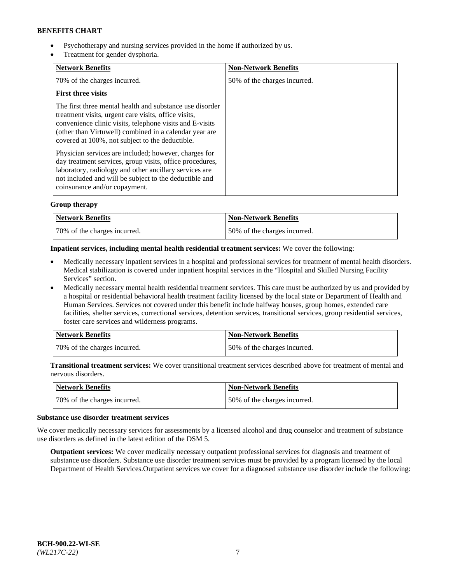- Psychotherapy and nursing services provided in the home if authorized by us.
- Treatment for gender dysphoria.

| <b>Network Benefits</b>                                                                                                                                                                                                                                                                   | <b>Non-Network Benefits</b>  |
|-------------------------------------------------------------------------------------------------------------------------------------------------------------------------------------------------------------------------------------------------------------------------------------------|------------------------------|
| 70% of the charges incurred.                                                                                                                                                                                                                                                              | 50% of the charges incurred. |
| <b>First three visits</b>                                                                                                                                                                                                                                                                 |                              |
| The first three mental health and substance use disorder<br>treatment visits, urgent care visits, office visits,<br>convenience clinic visits, telephone visits and E-visits<br>(other than Virtuwell) combined in a calendar year are<br>covered at 100%, not subject to the deductible. |                              |
| Physician services are included; however, charges for<br>day treatment services, group visits, office procedures,<br>laboratory, radiology and other ancillary services are<br>not included and will be subject to the deductible and<br>coinsurance and/or copayment.                    |                              |

## **Group therapy**

| <b>Network Benefits</b>      | <b>Non-Network Benefits</b>  |
|------------------------------|------------------------------|
| 70% of the charges incurred. | 50% of the charges incurred. |

## **Inpatient services, including mental health residential treatment services:** We cover the following:

- Medically necessary inpatient services in a hospital and professional services for treatment of mental health disorders. Medical stabilization is covered under inpatient hospital services in the "Hospital and Skilled Nursing Facility Services" section.
- Medically necessary mental health residential treatment services. This care must be authorized by us and provided by a hospital or residential behavioral health treatment facility licensed by the local state or Department of Health and Human Services. Services not covered under this benefit include halfway houses, group homes, extended care facilities, shelter services, correctional services, detention services, transitional services, group residential services, foster care services and wilderness programs.

| Network Benefits             | <b>Non-Network Benefits</b>  |
|------------------------------|------------------------------|
| 70% of the charges incurred. | 50% of the charges incurred. |

**Transitional treatment services:** We cover transitional treatment services described above for treatment of mental and nervous disorders.

| Network Benefits             | <b>Non-Network Benefits</b>  |
|------------------------------|------------------------------|
| 70% of the charges incurred. | 50% of the charges incurred. |

## **Substance use disorder treatment services**

We cover medically necessary services for assessments by a licensed alcohol and drug counselor and treatment of substance use disorders as defined in the latest edition of the DSM 5.

**Outpatient services:** We cover medically necessary outpatient professional services for diagnosis and treatment of substance use disorders. Substance use disorder treatment services must be provided by a program licensed by the local Department of Health Services.Outpatient services we cover for a diagnosed substance use disorder include the following: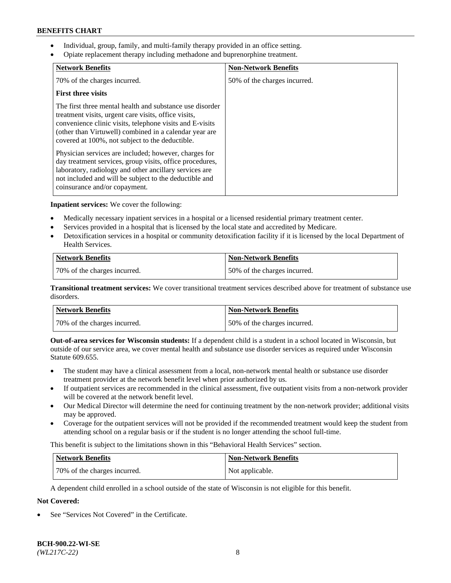- Individual, group, family, and multi-family therapy provided in an office setting.
- Opiate replacement therapy including methadone and buprenorphine treatment.

| <b>Network Benefits</b>                                                                                                                                                                                                                                                                   | <b>Non-Network Benefits</b>  |
|-------------------------------------------------------------------------------------------------------------------------------------------------------------------------------------------------------------------------------------------------------------------------------------------|------------------------------|
| 70% of the charges incurred.                                                                                                                                                                                                                                                              | 50% of the charges incurred. |
| <b>First three visits</b>                                                                                                                                                                                                                                                                 |                              |
| The first three mental health and substance use disorder<br>treatment visits, urgent care visits, office visits,<br>convenience clinic visits, telephone visits and E-visits<br>(other than Virtuwell) combined in a calendar year are<br>covered at 100%, not subject to the deductible. |                              |
| Physician services are included; however, charges for<br>day treatment services, group visits, office procedures,<br>laboratory, radiology and other ancillary services are<br>not included and will be subject to the deductible and<br>coinsurance and/or copayment.                    |                              |

**Inpatient services:** We cover the following:

- Medically necessary inpatient services in a hospital or a licensed residential primary treatment center.
- Services provided in a hospital that is licensed by the local state and accredited by Medicare.
- Detoxification services in a hospital or community detoxification facility if it is licensed by the local Department of Health Services.

| <b>Network Benefits</b>      | <b>Non-Network Benefits</b>  |
|------------------------------|------------------------------|
| 70% of the charges incurred. | 50% of the charges incurred. |

**Transitional treatment services:** We cover transitional treatment services described above for treatment of substance use disorders.

| Network Benefits             | <b>Non-Network Benefits</b>  |
|------------------------------|------------------------------|
| 70% of the charges incurred. | 50% of the charges incurred. |

**Out-of-area services for Wisconsin students:** If a dependent child is a student in a school located in Wisconsin, but outside of our service area, we cover mental health and substance use disorder services as required under Wisconsin Statute 609.655.

- The student may have a clinical assessment from a local, non-network mental health or substance use disorder treatment provider at the network benefit level when prior authorized by us.
- If outpatient services are recommended in the clinical assessment, five outpatient visits from a non-network provider will be covered at the network benefit level.
- Our Medical Director will determine the need for continuing treatment by the non-network provider; additional visits may be approved.
- Coverage for the outpatient services will not be provided if the recommended treatment would keep the student from attending school on a regular basis or if the student is no longer attending the school full-time.

This benefit is subject to the limitations shown in this "Behavioral Health Services" section.

| Network Benefits             | <b>Non-Network Benefits</b> |
|------------------------------|-----------------------------|
| 70% of the charges incurred. | Not applicable.             |

A dependent child enrolled in a school outside of the state of Wisconsin is not eligible for this benefit.

# **Not Covered:**

See "Services Not Covered" in the Certificate.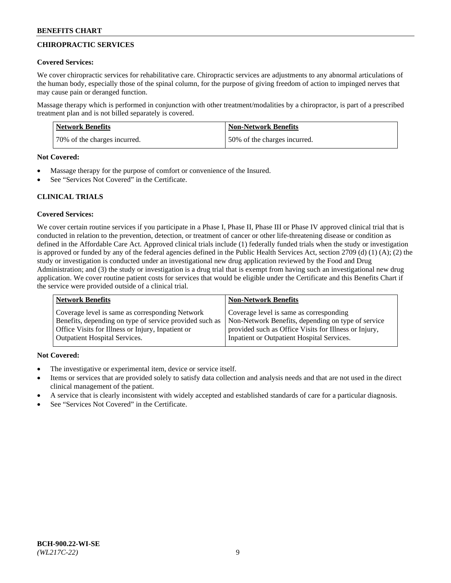## **CHIROPRACTIC SERVICES**

### **Covered Services:**

We cover chiropractic services for rehabilitative care. Chiropractic services are adjustments to any abnormal articulations of the human body, especially those of the spinal column, for the purpose of giving freedom of action to impinged nerves that may cause pain or deranged function.

Massage therapy which is performed in conjunction with other treatment/modalities by a chiropractor, is part of a prescribed treatment plan and is not billed separately is covered.

| <b>Network Benefits</b>      | <b>Non-Network Benefits</b>  |
|------------------------------|------------------------------|
| 70% of the charges incurred. | 50% of the charges incurred. |

#### **Not Covered:**

- Massage therapy for the purpose of comfort or convenience of the Insured.
- See "Services Not Covered" in the Certificate.

## **CLINICAL TRIALS**

## **Covered Services:**

We cover certain routine services if you participate in a Phase I, Phase II, Phase III or Phase IV approved clinical trial that is conducted in relation to the prevention, detection, or treatment of cancer or other life-threatening disease or condition as defined in the Affordable Care Act. Approved clinical trials include (1) federally funded trials when the study or investigation is approved or funded by any of the federal agencies defined in the Public Health Services Act, section 2709 (d) (1) (A); (2) the study or investigation is conducted under an investigational new drug application reviewed by the Food and Drug Administration; and (3) the study or investigation is a drug trial that is exempt from having such an investigational new drug application. We cover routine patient costs for services that would be eligible under the Certificate and this Benefits Chart if the service were provided outside of a clinical trial.

| <b>Network Benefits</b>                                 | <b>Non-Network Benefits</b>                           |
|---------------------------------------------------------|-------------------------------------------------------|
| Coverage level is same as corresponding Network         | Coverage level is same as corresponding               |
| Benefits, depending on type of service provided such as | Non-Network Benefits, depending on type of service    |
| Office Visits for Illness or Injury, Inpatient or       | provided such as Office Visits for Illness or Injury, |
| <b>Outpatient Hospital Services.</b>                    | Inpatient or Outpatient Hospital Services.            |

## **Not Covered:**

- The investigative or experimental item, device or service itself.
- Items or services that are provided solely to satisfy data collection and analysis needs and that are not used in the direct clinical management of the patient.
- A service that is clearly inconsistent with widely accepted and established standards of care for a particular diagnosis.
- See "Services Not Covered" in the Certificate.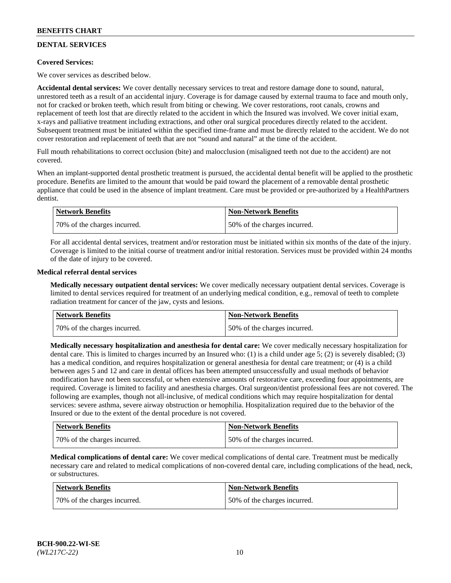## **DENTAL SERVICES**

## **Covered Services:**

We cover services as described below.

**Accidental dental services:** We cover dentally necessary services to treat and restore damage done to sound, natural, unrestored teeth as a result of an accidental injury. Coverage is for damage caused by external trauma to face and mouth only, not for cracked or broken teeth, which result from biting or chewing. We cover restorations, root canals, crowns and replacement of teeth lost that are directly related to the accident in which the Insured was involved. We cover initial exam, x-rays and palliative treatment including extractions, and other oral surgical procedures directly related to the accident. Subsequent treatment must be initiated within the specified time-frame and must be directly related to the accident. We do not cover restoration and replacement of teeth that are not "sound and natural" at the time of the accident.

Full mouth rehabilitations to correct occlusion (bite) and malocclusion (misaligned teeth not due to the accident) are not covered.

When an implant-supported dental prosthetic treatment is pursued, the accidental dental benefit will be applied to the prosthetic procedure. Benefits are limited to the amount that would be paid toward the placement of a removable dental prosthetic appliance that could be used in the absence of implant treatment. Care must be provided or pre-authorized by a HealthPartners dentist.

| <b>Network Benefits</b>       | <b>Non-Network Benefits</b>  |
|-------------------------------|------------------------------|
| 170% of the charges incurred. | 50% of the charges incurred. |

For all accidental dental services, treatment and/or restoration must be initiated within six months of the date of the injury. Coverage is limited to the initial course of treatment and/or initial restoration. Services must be provided within 24 months of the date of injury to be covered.

#### **Medical referral dental services**

**Medically necessary outpatient dental services:** We cover medically necessary outpatient dental services. Coverage is limited to dental services required for treatment of an underlying medical condition, e.g., removal of teeth to complete radiation treatment for cancer of the jaw, cysts and lesions.

| Network Benefits             | <b>Non-Network Benefits</b>  |
|------------------------------|------------------------------|
| 70% of the charges incurred. | 50% of the charges incurred. |

**Medically necessary hospitalization and anesthesia for dental care:** We cover medically necessary hospitalization for dental care. This is limited to charges incurred by an Insured who: (1) is a child under age  $5$ ; (2) is severely disabled; (3) has a medical condition, and requires hospitalization or general anesthesia for dental care treatment; or (4) is a child between ages 5 and 12 and care in dental offices has been attempted unsuccessfully and usual methods of behavior modification have not been successful, or when extensive amounts of restorative care, exceeding four appointments, are required. Coverage is limited to facility and anesthesia charges. Oral surgeon/dentist professional fees are not covered. The following are examples, though not all-inclusive, of medical conditions which may require hospitalization for dental services: severe asthma, severe airway obstruction or hemophilia. Hospitalization required due to the behavior of the Insured or due to the extent of the dental procedure is not covered.

| Network Benefits             | <b>Non-Network Benefits</b>  |
|------------------------------|------------------------------|
| 70% of the charges incurred. | 50% of the charges incurred. |

**Medical complications of dental care:** We cover medical complications of dental care. Treatment must be medically necessary care and related to medical complications of non-covered dental care, including complications of the head, neck, or substructures.

| Network Benefits             | <b>Non-Network Benefits</b>  |
|------------------------------|------------------------------|
| 70% of the charges incurred. | 50% of the charges incurred. |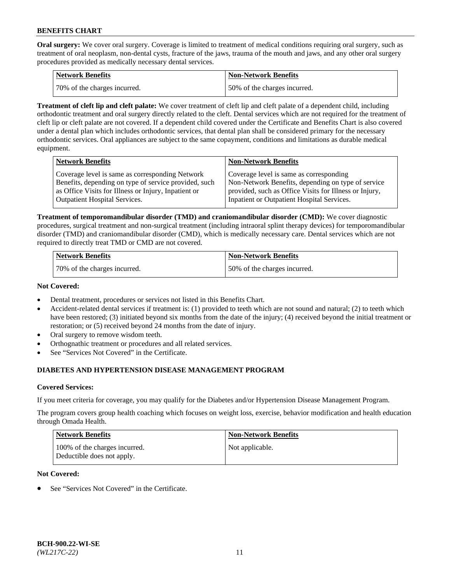**Oral surgery:** We cover oral surgery. Coverage is limited to treatment of medical conditions requiring oral surgery, such as treatment of oral neoplasm, non-dental cysts, fracture of the jaws, trauma of the mouth and jaws, and any other oral surgery procedures provided as medically necessary dental services.

| <b>Network Benefits</b>       | <b>Non-Network Benefits</b>  |
|-------------------------------|------------------------------|
| 170% of the charges incurred. | 50% of the charges incurred. |

**Treatment of cleft lip and cleft palate:** We cover treatment of cleft lip and cleft palate of a dependent child, including orthodontic treatment and oral surgery directly related to the cleft. Dental services which are not required for the treatment of cleft lip or cleft palate are not covered. If a dependent child covered under the Certificate and Benefits Chart is also covered under a dental plan which includes orthodontic services, that dental plan shall be considered primary for the necessary orthodontic services. Oral appliances are subject to the same copayment, conditions and limitations as durable medical equipment.

| <b>Network Benefits</b>                               | <b>Non-Network Benefits</b>                            |
|-------------------------------------------------------|--------------------------------------------------------|
| Coverage level is same as corresponding Network       | Coverage level is same as corresponding                |
| Benefits, depending on type of service provided, such | Non-Network Benefits, depending on type of service     |
| as Office Visits for Illness or Injury, Inpatient or  | provided, such as Office Visits for Illness or Injury, |
| <b>Outpatient Hospital Services.</b>                  | Inpatient or Outpatient Hospital Services.             |

**Treatment of temporomandibular disorder (TMD) and craniomandibular disorder (CMD):** We cover diagnostic procedures, surgical treatment and non-surgical treatment (including intraoral splint therapy devices) for temporomandibular disorder (TMD) and craniomandibular disorder (CMD), which is medically necessary care. Dental services which are not required to directly treat TMD or CMD are not covered.

| <b>Network Benefits</b>      | <b>Non-Network Benefits</b>  |
|------------------------------|------------------------------|
| 70% of the charges incurred. | 50% of the charges incurred. |

#### **Not Covered:**

- Dental treatment, procedures or services not listed in this Benefits Chart.
- Accident-related dental services if treatment is: (1) provided to teeth which are not sound and natural; (2) to teeth which have been restored; (3) initiated beyond six months from the date of the injury; (4) received beyond the initial treatment or restoration; or (5) received beyond 24 months from the date of injury.
- Oral surgery to remove wisdom teeth.
- Orthognathic treatment or procedures and all related services.
- See "Services Not Covered" in the Certificate.

## **DIABETES AND HYPERTENSION DISEASE MANAGEMENT PROGRAM**

## **Covered Services:**

If you meet criteria for coverage, you may qualify for the Diabetes and/or Hypertension Disease Management Program.

The program covers group health coaching which focuses on weight loss, exercise, behavior modification and health education through Omada Health.

| <b>Network Benefits</b>                                     | <b>Non-Network Benefits</b> |
|-------------------------------------------------------------|-----------------------------|
| 100% of the charges incurred.<br>Deductible does not apply. | Not applicable.             |

## **Not Covered:**

See "Services Not Covered" in the Certificate.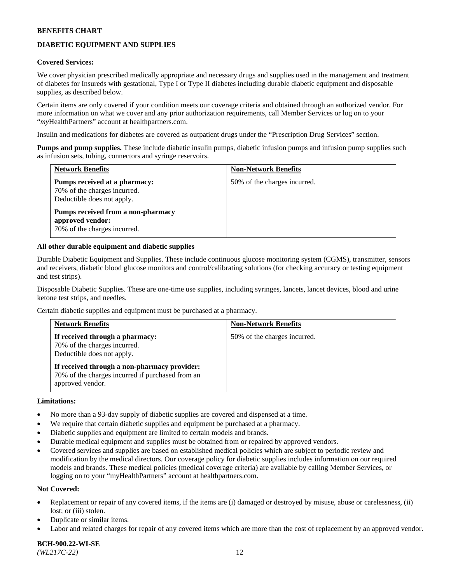## **DIABETIC EQUIPMENT AND SUPPLIES**

#### **Covered Services:**

We cover physician prescribed medically appropriate and necessary drugs and supplies used in the management and treatment of diabetes for Insureds with gestational, Type I or Type II diabetes including durable diabetic equipment and disposable supplies, as described below.

Certain items are only covered if your condition meets our coverage criteria and obtained through an authorized vendor. For more information on what we cover and any prior authorization requirements, call Member Services or log on to your "*my*HealthPartners" account at [healthpartners.com.](http://www.healthpartners.com/)

Insulin and medications for diabetes are covered as outpatient drugs under the "Prescription Drug Services" section.

**Pumps and pump supplies.** These include diabetic insulin pumps, diabetic infusion pumps and infusion pump supplies such as infusion sets, tubing, connectors and syringe reservoirs.

| <b>Network Benefits</b>                                                                     | <b>Non-Network Benefits</b>  |
|---------------------------------------------------------------------------------------------|------------------------------|
| Pumps received at a pharmacy:<br>70% of the charges incurred.<br>Deductible does not apply. | 50% of the charges incurred. |
| Pumps received from a non-pharmacy<br>approved vendor:<br>70% of the charges incurred.      |                              |

#### **All other durable equipment and diabetic supplies**

Durable Diabetic Equipment and Supplies. These include continuous glucose monitoring system (CGMS), transmitter, sensors and receivers, diabetic blood glucose monitors and control/calibrating solutions (for checking accuracy or testing equipment and test strips).

Disposable Diabetic Supplies. These are one-time use supplies, including syringes, lancets, lancet devices, blood and urine ketone test strips, and needles.

Certain diabetic supplies and equipment must be purchased at a pharmacy.

| <b>Network Benefits</b>                                                                                              | <b>Non-Network Benefits</b>  |
|----------------------------------------------------------------------------------------------------------------------|------------------------------|
| If received through a pharmacy:<br>70% of the charges incurred.<br>Deductible does not apply.                        | 50% of the charges incurred. |
| If received through a non-pharmacy provider:<br>70% of the charges incurred if purchased from an<br>approved vendor. |                              |

#### **Limitations:**

- No more than a 93-day supply of diabetic supplies are covered and dispensed at a time.
- We require that certain diabetic supplies and equipment be purchased at a pharmacy.
- Diabetic supplies and equipment are limited to certain models and brands.
- Durable medical equipment and supplies must be obtained from or repaired by approved vendors.
- Covered services and supplies are based on established medical policies which are subject to periodic review and modification by the medical directors. Our coverage policy for diabetic supplies includes information on our required models and brands. These medical policies (medical coverage criteria) are available by calling Member Services, or logging on to your "myHealthPartners" account at [healthpartners.com.](http://www.healthpartners.com/)

#### **Not Covered:**

- Replacement or repair of any covered items, if the items are (i) damaged or destroyed by misuse, abuse or carelessness, (ii) lost; or (iii) stolen.
- Duplicate or similar items.
- Labor and related charges for repair of any covered items which are more than the cost of replacement by an approved vendor.

**BCH-900.22-WI-SE**  *(WL217C-22)* 12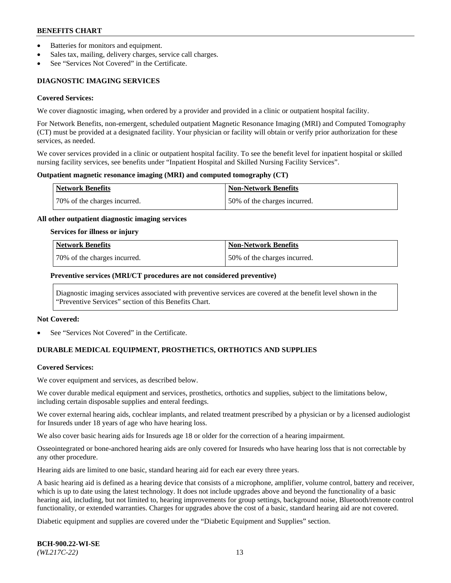- Batteries for monitors and equipment.
- Sales tax, mailing, delivery charges, service call charges.
- See "Services Not Covered" in the Certificate.

## **DIAGNOSTIC IMAGING SERVICES**

#### **Covered Services:**

We cover diagnostic imaging, when ordered by a provider and provided in a clinic or outpatient hospital facility.

For Network Benefits, non-emergent, scheduled outpatient Magnetic Resonance Imaging (MRI) and Computed Tomography (CT) must be provided at a designated facility. Your physician or facility will obtain or verify prior authorization for these services, as needed.

We cover services provided in a clinic or outpatient hospital facility. To see the benefit level for inpatient hospital or skilled nursing facility services, see benefits under "Inpatient Hospital and Skilled Nursing Facility Services".

#### **Outpatient magnetic resonance imaging (MRI) and computed tomography (CT)**

| <b>Network Benefits</b>      | <b>Non-Network Benefits</b>  |
|------------------------------|------------------------------|
| 70% of the charges incurred. | 50% of the charges incurred. |

#### **All other outpatient diagnostic imaging services**

#### **Services for illness or injury**

| Network Benefits             | <b>Non-Network Benefits</b>  |
|------------------------------|------------------------------|
| 70% of the charges incurred. | 50% of the charges incurred. |

#### **Preventive services (MRI/CT procedures are not considered preventive)**

Diagnostic imaging services associated with preventive services are covered at the benefit level shown in the "Preventive Services" section of this Benefits Chart.

#### **Not Covered:**

See "Services Not Covered" in the Certificate.

## **DURABLE MEDICAL EQUIPMENT, PROSTHETICS, ORTHOTICS AND SUPPLIES**

#### **Covered Services:**

We cover equipment and services, as described below.

We cover durable medical equipment and services, prosthetics, orthotics and supplies, subject to the limitations below, including certain disposable supplies and enteral feedings.

We cover external hearing aids, cochlear implants, and related treatment prescribed by a physician or by a licensed audiologist for Insureds under 18 years of age who have hearing loss.

We also cover basic hearing aids for Insureds age 18 or older for the correction of a hearing impairment.

Osseointegrated or bone-anchored hearing aids are only covered for Insureds who have hearing loss that is not correctable by any other procedure.

Hearing aids are limited to one basic, standard hearing aid for each ear every three years.

A basic hearing aid is defined as a hearing device that consists of a microphone, amplifier, volume control, battery and receiver, which is up to date using the latest technology. It does not include upgrades above and beyond the functionality of a basic hearing aid, including, but not limited to, hearing improvements for group settings, background noise, Bluetooth/remote control functionality, or extended warranties. Charges for upgrades above the cost of a basic, standard hearing aid are not covered.

Diabetic equipment and supplies are covered under the "Diabetic Equipment and Supplies" section.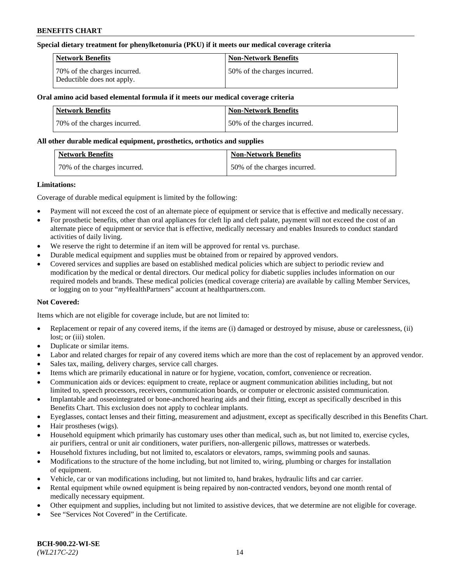### **Special dietary treatment for phenylketonuria (PKU) if it meets our medical coverage criteria**

| Network Benefits                                           | <b>Non-Network Benefits</b>  |
|------------------------------------------------------------|------------------------------|
| 70% of the charges incurred.<br>Deductible does not apply. | 50% of the charges incurred. |

## **Oral amino acid based elemental formula if it meets our medical coverage criteria**

| Network Benefits             | <b>Non-Network Benefits</b>  |
|------------------------------|------------------------------|
| 70% of the charges incurred. | 50% of the charges incurred. |

#### **All other durable medical equipment, prosthetics, orthotics and supplies**

| <b>Network Benefits</b>      | <b>Non-Network Benefits</b>  |
|------------------------------|------------------------------|
| 70% of the charges incurred. | 50% of the charges incurred. |

#### **Limitations:**

Coverage of durable medical equipment is limited by the following:

- Payment will not exceed the cost of an alternate piece of equipment or service that is effective and medically necessary.
- For prosthetic benefits, other than oral appliances for cleft lip and cleft palate, payment will not exceed the cost of an alternate piece of equipment or service that is effective, medically necessary and enables Insureds to conduct standard activities of daily living.
- We reserve the right to determine if an item will be approved for rental vs. purchase.
- Durable medical equipment and supplies must be obtained from or repaired by approved vendors.
- Covered services and supplies are based on established medical policies which are subject to periodic review and modification by the medical or dental directors. Our medical policy for diabetic supplies includes information on our required models and brands. These medical policies (medical coverage criteria) are available by calling Member Services, or logging on to your "*my*HealthPartners" account a[t healthpartners.com.](http://www.healthpartners.com/)

## **Not Covered:**

Items which are not eligible for coverage include, but are not limited to:

- Replacement or repair of any covered items, if the items are (i) damaged or destroyed by misuse, abuse or carelessness, (ii) lost; or (iii) stolen.
- Duplicate or similar items.
- Labor and related charges for repair of any covered items which are more than the cost of replacement by an approved vendor.
- Sales tax, mailing, delivery charges, service call charges.
- Items which are primarily educational in nature or for hygiene, vocation, comfort, convenience or recreation.
- Communication aids or devices: equipment to create, replace or augment communication abilities including, but not limited to, speech processors, receivers, communication boards, or computer or electronic assisted communication.
- Implantable and osseointegrated or bone-anchored hearing aids and their fitting, except as specifically described in this Benefits Chart. This exclusion does not apply to cochlear implants.
- Eyeglasses, contact lenses and their fitting, measurement and adjustment, except as specifically described in this Benefits Chart.
- Hair prostheses (wigs).
- Household equipment which primarily has customary uses other than medical, such as, but not limited to, exercise cycles, air purifiers, central or unit air conditioners, water purifiers, non-allergenic pillows, mattresses or waterbeds.
- Household fixtures including, but not limited to, escalators or elevators, ramps, swimming pools and saunas.
- Modifications to the structure of the home including, but not limited to, wiring, plumbing or charges for installation of equipment.
- Vehicle, car or van modifications including, but not limited to, hand brakes, hydraulic lifts and car carrier.
- Rental equipment while owned equipment is being repaired by non-contracted vendors, beyond one month rental of medically necessary equipment.
- Other equipment and supplies, including but not limited to assistive devices, that we determine are not eligible for coverage.
- See "Services Not Covered" in the Certificate.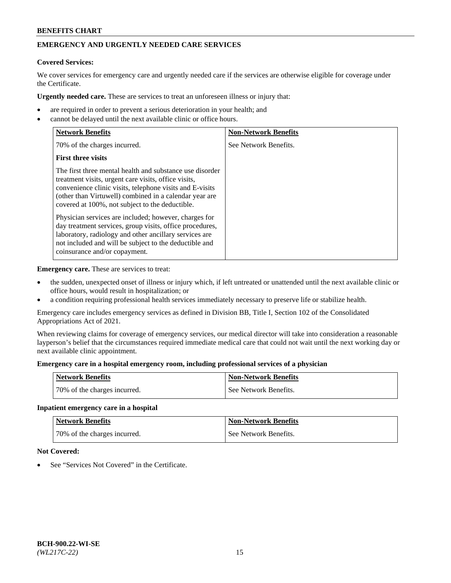# **EMERGENCY AND URGENTLY NEEDED CARE SERVICES**

## **Covered Services:**

We cover services for emergency care and urgently needed care if the services are otherwise eligible for coverage under the Certificate.

**Urgently needed care.** These are services to treat an unforeseen illness or injury that:

- are required in order to prevent a serious deterioration in your health; and
- cannot be delayed until the next available clinic or office hours.

| <b>Network Benefits</b>                                                                                                                                                                                                                                                                   | <b>Non-Network Benefits</b> |
|-------------------------------------------------------------------------------------------------------------------------------------------------------------------------------------------------------------------------------------------------------------------------------------------|-----------------------------|
| 70% of the charges incurred.                                                                                                                                                                                                                                                              | See Network Benefits.       |
| <b>First three visits</b>                                                                                                                                                                                                                                                                 |                             |
| The first three mental health and substance use disorder<br>treatment visits, urgent care visits, office visits,<br>convenience clinic visits, telephone visits and E-visits<br>(other than Virtuwell) combined in a calendar year are<br>covered at 100%, not subject to the deductible. |                             |
| Physician services are included; however, charges for<br>day treatment services, group visits, office procedures,<br>laboratory, radiology and other ancillary services are<br>not included and will be subject to the deductible and<br>coinsurance and/or copayment.                    |                             |

**Emergency care.** These are services to treat:

- the sudden, unexpected onset of illness or injury which, if left untreated or unattended until the next available clinic or office hours, would result in hospitalization; or
- a condition requiring professional health services immediately necessary to preserve life or stabilize health.

Emergency care includes emergency services as defined in Division BB, Title I, Section 102 of the Consolidated Appropriations Act of 2021.

When reviewing claims for coverage of emergency services, our medical director will take into consideration a reasonable layperson's belief that the circumstances required immediate medical care that could not wait until the next working day or next available clinic appointment.

### **Emergency care in a hospital emergency room, including professional services of a physician**

| <b>Network Benefits</b>      | <b>Non-Network Benefits</b> |
|------------------------------|-----------------------------|
| 70% of the charges incurred. | See Network Benefits.       |

#### **Inpatient emergency care in a hospital**

| <b>Network Benefits</b>      | Non-Network Benefits  |
|------------------------------|-----------------------|
| 70% of the charges incurred. | See Network Benefits. |

## **Not Covered:**

See "Services Not Covered" in the Certificate.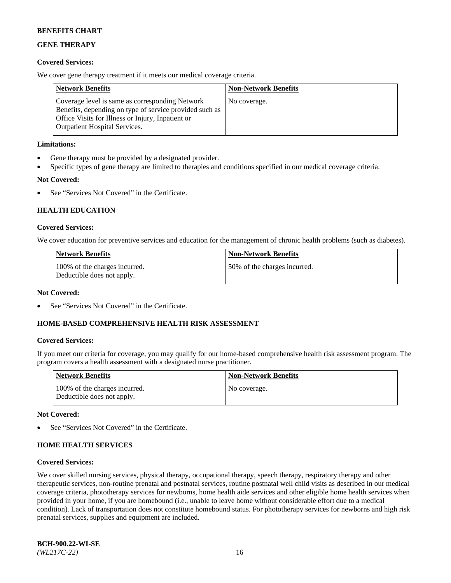## **GENE THERAPY**

## **Covered Services:**

We cover gene therapy treatment if it meets our medical coverage criteria.

| <b>Network Benefits</b>                                                                                                                                                                                 | <b>Non-Network Benefits</b> |
|---------------------------------------------------------------------------------------------------------------------------------------------------------------------------------------------------------|-----------------------------|
| Coverage level is same as corresponding Network<br>Benefits, depending on type of service provided such as<br>Office Visits for Illness or Injury, Inpatient or<br><b>Outpatient Hospital Services.</b> | No coverage.                |

## **Limitations:**

- Gene therapy must be provided by a designated provider.
- Specific types of gene therapy are limited to therapies and conditions specified in our medical coverage criteria.

## **Not Covered:**

See "Services Not Covered" in the Certificate.

## **HEALTH EDUCATION**

#### **Covered Services:**

We cover education for preventive services and education for the management of chronic health problems (such as diabetes).

| <b>Network Benefits</b>                                     | <b>Non-Network Benefits</b>  |
|-------------------------------------------------------------|------------------------------|
| 100% of the charges incurred.<br>Deductible does not apply. | 50% of the charges incurred. |

#### **Not Covered:**

See "Services Not Covered" in the Certificate.

## **HOME-BASED COMPREHENSIVE HEALTH RISK ASSESSMENT**

#### **Covered Services:**

If you meet our criteria for coverage, you may qualify for our home-based comprehensive health risk assessment program. The program covers a health assessment with a designated nurse practitioner.

| <b>Network Benefits</b>                                     | <b>Non-Network Benefits</b> |
|-------------------------------------------------------------|-----------------------------|
| 100% of the charges incurred.<br>Deductible does not apply. | No coverage.                |

#### **Not Covered:**

See "Services Not Covered" in the Certificate.

## **HOME HEALTH SERVICES**

#### **Covered Services:**

We cover skilled nursing services, physical therapy, occupational therapy, speech therapy, respiratory therapy and other therapeutic services, non-routine prenatal and postnatal services, routine postnatal well child visits as described in our medical coverage criteria, phototherapy services for newborns, home health aide services and other eligible home health services when provided in your home, if you are homebound (i.e., unable to leave home without considerable effort due to a medical condition). Lack of transportation does not constitute homebound status. For phototherapy services for newborns and high risk prenatal services, supplies and equipment are included.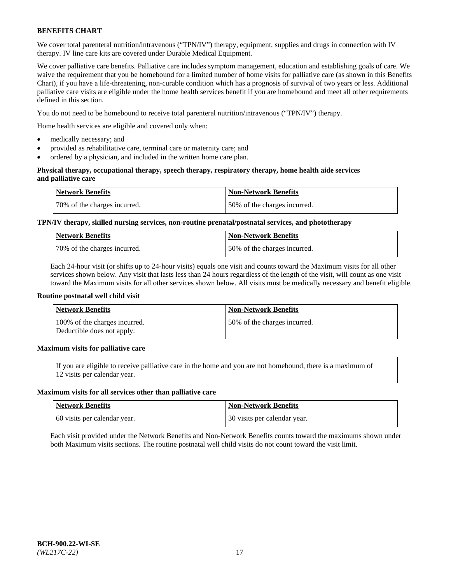We cover total parenteral nutrition/intravenous ("TPN/IV") therapy, equipment, supplies and drugs in connection with IV therapy. IV line care kits are covered under Durable Medical Equipment.

We cover palliative care benefits. Palliative care includes symptom management, education and establishing goals of care. We waive the requirement that you be homebound for a limited number of home visits for palliative care (as shown in this Benefits Chart), if you have a life-threatening, non-curable condition which has a prognosis of survival of two years or less. Additional palliative care visits are eligible under the home health services benefit if you are homebound and meet all other requirements defined in this section.

You do not need to be homebound to receive total parenteral nutrition/intravenous ("TPN/IV") therapy.

Home health services are eligible and covered only when:

- medically necessary; and
- provided as rehabilitative care, terminal care or maternity care; and
- ordered by a physician, and included in the written home care plan.

### **Physical therapy, occupational therapy, speech therapy, respiratory therapy, home health aide services and palliative care**

| <b>Network Benefits</b>      | <b>Non-Network Benefits</b>  |
|------------------------------|------------------------------|
| 70% of the charges incurred. | 50% of the charges incurred. |

## **TPN/IV therapy, skilled nursing services, non-routine prenatal/postnatal services, and phototherapy**

| <b>Network Benefits</b>       | Non-Network Benefits         |
|-------------------------------|------------------------------|
| 170% of the charges incurred. | 50% of the charges incurred. |

Each 24-hour visit (or shifts up to 24-hour visits) equals one visit and counts toward the Maximum visits for all other services shown below. Any visit that lasts less than 24 hours regardless of the length of the visit, will count as one visit toward the Maximum visits for all other services shown below. All visits must be medically necessary and benefit eligible.

#### **Routine postnatal well child visit**

| <b>Network Benefits</b>                                     | <b>Non-Network Benefits</b>  |
|-------------------------------------------------------------|------------------------------|
| 100% of the charges incurred.<br>Deductible does not apply. | 50% of the charges incurred. |

## **Maximum visits for palliative care**

If you are eligible to receive palliative care in the home and you are not homebound, there is a maximum of 12 visits per calendar year.

#### **Maximum visits for all services other than palliative care**

| Network Benefits             | <b>Non-Network Benefits</b>  |
|------------------------------|------------------------------|
| 60 visits per calendar year. | 30 visits per calendar year. |

Each visit provided under the Network Benefits and Non-Network Benefits counts toward the maximums shown under both Maximum visits sections. The routine postnatal well child visits do not count toward the visit limit.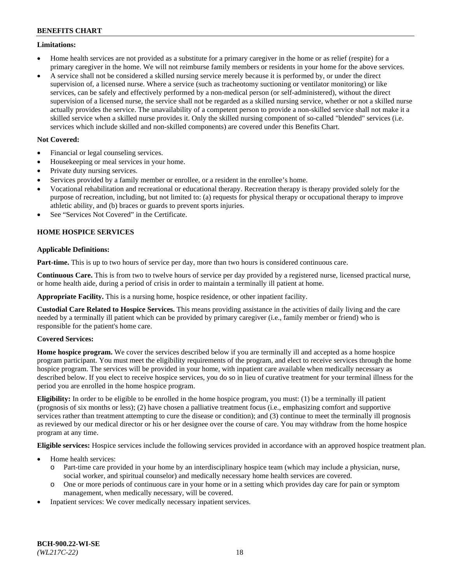### **Limitations:**

- Home health services are not provided as a substitute for a primary caregiver in the home or as relief (respite) for a primary caregiver in the home. We will not reimburse family members or residents in your home for the above services.
- A service shall not be considered a skilled nursing service merely because it is performed by, or under the direct supervision of, a licensed nurse. Where a service (such as tracheotomy suctioning or ventilator monitoring) or like services, can be safely and effectively performed by a non-medical person (or self-administered), without the direct supervision of a licensed nurse, the service shall not be regarded as a skilled nursing service, whether or not a skilled nurse actually provides the service. The unavailability of a competent person to provide a non-skilled service shall not make it a skilled service when a skilled nurse provides it. Only the skilled nursing component of so-called "blended" services (i.e. services which include skilled and non-skilled components) are covered under this Benefits Chart.

## **Not Covered:**

- Financial or legal counseling services.
- Housekeeping or meal services in your home.
- Private duty nursing services.
- Services provided by a family member or enrollee, or a resident in the enrollee's home.
- Vocational rehabilitation and recreational or educational therapy. Recreation therapy is therapy provided solely for the purpose of recreation, including, but not limited to: (a) requests for physical therapy or occupational therapy to improve athletic ability, and (b) braces or guards to prevent sports injuries.
- See "Services Not Covered" in the Certificate.

## **HOME HOSPICE SERVICES**

## **Applicable Definitions:**

**Part-time.** This is up to two hours of service per day, more than two hours is considered continuous care.

**Continuous Care.** This is from two to twelve hours of service per day provided by a registered nurse, licensed practical nurse, or home health aide, during a period of crisis in order to maintain a terminally ill patient at home.

**Appropriate Facility.** This is a nursing home, hospice residence, or other inpatient facility.

**Custodial Care Related to Hospice Services.** This means providing assistance in the activities of daily living and the care needed by a terminally ill patient which can be provided by primary caregiver (i.e., family member or friend) who is responsible for the patient's home care.

## **Covered Services:**

**Home hospice program.** We cover the services described below if you are terminally ill and accepted as a home hospice program participant. You must meet the eligibility requirements of the program, and elect to receive services through the home hospice program. The services will be provided in your home, with inpatient care available when medically necessary as described below. If you elect to receive hospice services, you do so in lieu of curative treatment for your terminal illness for the period you are enrolled in the home hospice program.

**Eligibility:** In order to be eligible to be enrolled in the home hospice program, you must: (1) be a terminally ill patient (prognosis of six months or less); (2) have chosen a palliative treatment focus (i.e., emphasizing comfort and supportive services rather than treatment attempting to cure the disease or condition); and (3) continue to meet the terminally ill prognosis as reviewed by our medical director or his or her designee over the course of care. You may withdraw from the home hospice program at any time.

**Eligible services:** Hospice services include the following services provided in accordance with an approved hospice treatment plan.

- Home health services:
	- o Part-time care provided in your home by an interdisciplinary hospice team (which may include a physician, nurse, social worker, and spiritual counselor) and medically necessary home health services are covered.
	- o One or more periods of continuous care in your home or in a setting which provides day care for pain or symptom management, when medically necessary, will be covered.
- Inpatient services: We cover medically necessary inpatient services.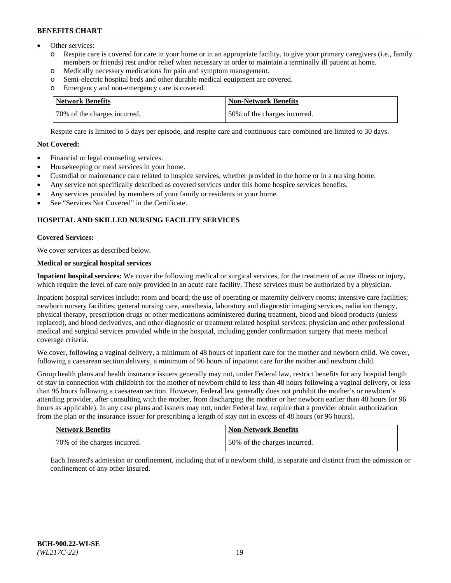- Other services:
	- o Respite care is covered for care in your home or in an appropriate facility, to give your primary caregivers (i.e., family members or friends) rest and/or relief when necessary in order to maintain a terminally ill patient at home.
	- o Medically necessary medications for pain and symptom management.
	- o Semi-electric hospital beds and other durable medical equipment are covered.
	- Emergency and non-emergency care is covered.

| Network Benefits             | Non-Network Benefits         |
|------------------------------|------------------------------|
| 70% of the charges incurred. | 50% of the charges incurred. |

Respite care is limited to 5 days per episode, and respite care and continuous care combined are limited to 30 days.

## **Not Covered:**

- Financial or legal counseling services.
- Housekeeping or meal services in your home.
- Custodial or maintenance care related to hospice services, whether provided in the home or in a nursing home.
- Any service not specifically described as covered services under this home hospice services benefits.
- Any services provided by members of your family or residents in your home.
- See "Services Not Covered" in the Certificate.

## **HOSPITAL AND SKILLED NURSING FACILITY SERVICES**

#### **Covered Services:**

We cover services as described below.

## **Medical or surgical hospital services**

**Inpatient hospital services:** We cover the following medical or surgical services, for the treatment of acute illness or injury, which require the level of care only provided in an acute care facility. These services must be authorized by a physician.

Inpatient hospital services include: room and board; the use of operating or maternity delivery rooms; intensive care facilities; newborn nursery facilities; general nursing care, anesthesia, laboratory and diagnostic imaging services, radiation therapy, physical therapy, prescription drugs or other medications administered during treatment, blood and blood products (unless replaced), and blood derivatives, and other diagnostic or treatment related hospital services; physician and other professional medical and surgical services provided while in the hospital, including gender confirmation surgery that meets medical coverage criteria.

We cover, following a vaginal delivery, a minimum of 48 hours of inpatient care for the mother and newborn child. We cover, following a caesarean section delivery, a minimum of 96 hours of inpatient care for the mother and newborn child.

Group health plans and health insurance issuers generally may not, under Federal law, restrict benefits for any hospital length of stay in connection with childbirth for the mother of newborn child to less than 48 hours following a vaginal delivery, or less than 96 hours following a caesarean section. However, Federal law generally does not prohibit the mother's or newborn's attending provider, after consulting with the mother, from discharging the mother or her newborn earlier than 48 hours (or 96 hours as applicable). In any case plans and issuers may not, under Federal law, require that a provider obtain authorization from the plan or the insurance issuer for prescribing a length of stay not in excess of 48 hours (or 96 hours).

| Network Benefits             | <b>Non-Network Benefits</b>  |
|------------------------------|------------------------------|
| 70% of the charges incurred. | 50% of the charges incurred. |

Each Insured's admission or confinement, including that of a newborn child, is separate and distinct from the admission or confinement of any other Insured.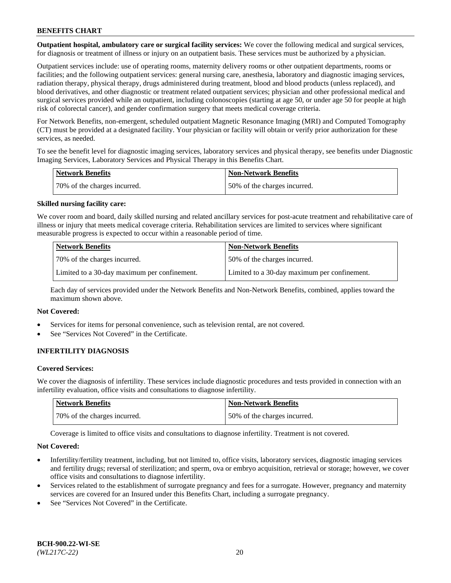**Outpatient hospital, ambulatory care or surgical facility services:** We cover the following medical and surgical services, for diagnosis or treatment of illness or injury on an outpatient basis. These services must be authorized by a physician.

Outpatient services include: use of operating rooms, maternity delivery rooms or other outpatient departments, rooms or facilities; and the following outpatient services: general nursing care, anesthesia, laboratory and diagnostic imaging services, radiation therapy, physical therapy, drugs administered during treatment, blood and blood products (unless replaced), and blood derivatives, and other diagnostic or treatment related outpatient services; physician and other professional medical and surgical services provided while an outpatient, including colonoscopies (starting at age 50, or under age 50 for people at high risk of colorectal cancer), and gender confirmation surgery that meets medical coverage criteria.

For Network Benefits, non-emergent, scheduled outpatient Magnetic Resonance Imaging (MRI) and Computed Tomography (CT) must be provided at a designated facility. Your physician or facility will obtain or verify prior authorization for these services, as needed.

To see the benefit level for diagnostic imaging services, laboratory services and physical therapy, see benefits under Diagnostic Imaging Services, Laboratory Services and Physical Therapy in this Benefits Chart.

| <b>Network Benefits</b>       | <b>Non-Network Benefits</b>  |
|-------------------------------|------------------------------|
| 170% of the charges incurred. | 50% of the charges incurred. |

#### **Skilled nursing facility care:**

We cover room and board, daily skilled nursing and related ancillary services for post-acute treatment and rehabilitative care of illness or injury that meets medical coverage criteria. Rehabilitation services are limited to services where significant measurable progress is expected to occur within a reasonable period of time.

| <b>Network Benefits</b> |                                              | <b>Non-Network Benefits</b>                  |
|-------------------------|----------------------------------------------|----------------------------------------------|
|                         | 70\% of the charges incurred.                | 50% of the charges incurred.                 |
|                         | Limited to a 30-day maximum per confinement. | Limited to a 30-day maximum per confinement. |

Each day of services provided under the Network Benefits and Non-Network Benefits, combined, applies toward the maximum shown above.

## **Not Covered:**

- Services for items for personal convenience, such as television rental, are not covered.
- See "Services Not Covered" in the Certificate.

## **INFERTILITY DIAGNOSIS**

#### **Covered Services:**

We cover the diagnosis of infertility. These services include diagnostic procedures and tests provided in connection with an infertility evaluation, office visits and consultations to diagnose infertility.

| Network Benefits             | <b>Non-Network Benefits</b>  |
|------------------------------|------------------------------|
| 70% of the charges incurred. | 50% of the charges incurred. |

Coverage is limited to office visits and consultations to diagnose infertility. Treatment is not covered.

#### **Not Covered:**

- Infertility/fertility treatment, including, but not limited to, office visits, laboratory services, diagnostic imaging services and fertility drugs; reversal of sterilization; and sperm, ova or embryo acquisition, retrieval or storage; however, we cover office visits and consultations to diagnose infertility.
- Services related to the establishment of surrogate pregnancy and fees for a surrogate. However, pregnancy and maternity services are covered for an Insured under this Benefits Chart, including a surrogate pregnancy.
- See "Services Not Covered" in the Certificate.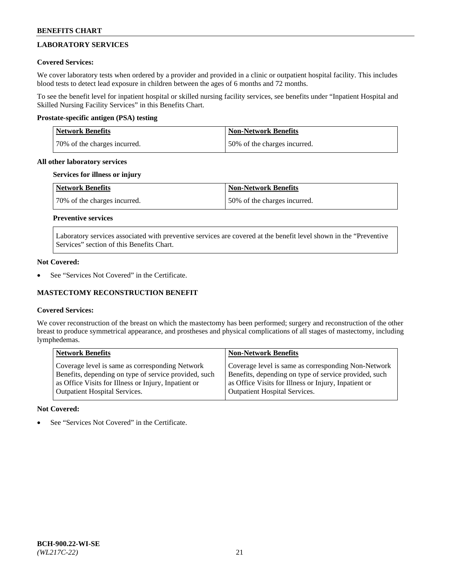## **LABORATORY SERVICES**

## **Covered Services:**

We cover laboratory tests when ordered by a provider and provided in a clinic or outpatient hospital facility. This includes blood tests to detect lead exposure in children between the ages of 6 months and 72 months.

To see the benefit level for inpatient hospital or skilled nursing facility services, see benefits under "Inpatient Hospital and Skilled Nursing Facility Services" in this Benefits Chart.

## **Prostate-specific antigen (PSA) testing**

| <b>Network Benefits</b>      | <b>Non-Network Benefits</b>  |
|------------------------------|------------------------------|
| 70% of the charges incurred. | 50% of the charges incurred. |

## **All other laboratory services**

## **Services for illness or injury**

| Network Benefits             | <b>Non-Network Benefits</b>  |
|------------------------------|------------------------------|
| 70% of the charges incurred. | 50% of the charges incurred. |

## **Preventive services**

Laboratory services associated with preventive services are covered at the benefit level shown in the "Preventive Services" section of this Benefits Chart.

#### **Not Covered:**

See "Services Not Covered" in the Certificate.

## **MASTECTOMY RECONSTRUCTION BENEFIT**

## **Covered Services:**

We cover reconstruction of the breast on which the mastectomy has been performed; surgery and reconstruction of the other breast to produce symmetrical appearance, and prostheses and physical complications of all stages of mastectomy, including lymphedemas.

| <b>Network Benefits</b>                               | <b>Non-Network Benefits</b>                           |
|-------------------------------------------------------|-------------------------------------------------------|
| Coverage level is same as corresponding Network       | Coverage level is same as corresponding Non-Network   |
| Benefits, depending on type of service provided, such | Benefits, depending on type of service provided, such |
| as Office Visits for Illness or Injury, Inpatient or  | as Office Visits for Illness or Injury, Inpatient or  |
| <b>Outpatient Hospital Services.</b>                  | <b>Outpatient Hospital Services.</b>                  |

## **Not Covered:**

See "Services Not Covered" in the Certificate.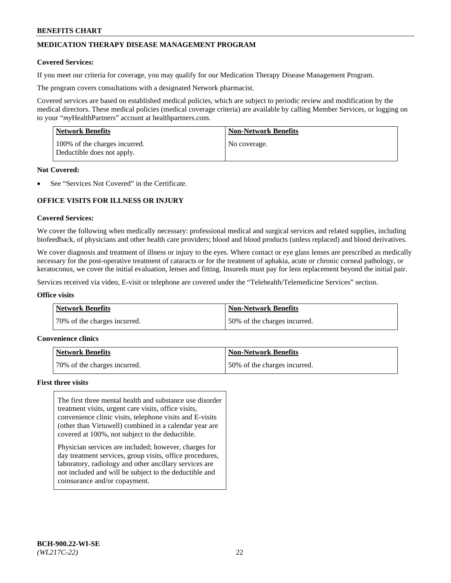## **MEDICATION THERAPY DISEASE MANAGEMENT PROGRAM**

#### **Covered Services:**

If you meet our criteria for coverage, you may qualify for our Medication Therapy Disease Management Program.

The program covers consultations with a designated Network pharmacist.

Covered services are based on established medical policies, which are subject to periodic review and modification by the medical directors. These medical policies (medical coverage criteria) are available by calling Member Services, or logging on to your "*my*HealthPartners" account at [healthpartners.com.](http://www.healthpartners.com/)

| <b>Network Benefits</b>                                     | <b>Non-Network Benefits</b> |
|-------------------------------------------------------------|-----------------------------|
| 100% of the charges incurred.<br>Deductible does not apply. | No coverage.                |

#### **Not Covered:**

See "Services Not Covered" in the Certificate.

## **OFFICE VISITS FOR ILLNESS OR INJURY**

#### **Covered Services:**

We cover the following when medically necessary: professional medical and surgical services and related supplies, including biofeedback, of physicians and other health care providers; blood and blood products (unless replaced) and blood derivatives.

We cover diagnosis and treatment of illness or injury to the eyes. Where contact or eye glass lenses are prescribed as medically necessary for the post-operative treatment of cataracts or for the treatment of aphakia, acute or chronic corneal pathology, or keratoconus, we cover the initial evaluation, lenses and fitting. Insureds must pay for lens replacement beyond the initial pair.

Services received via video, E-visit or telephone are covered under the "Telehealth/Telemedicine Services" section.

#### **Office visits**

| <b>Network Benefits</b>      | <b>Non-Network Benefits</b>  |
|------------------------------|------------------------------|
| 70% of the charges incurred. | 50% of the charges incurred. |

#### **Convenience clinics**

| Network Benefits             | <b>Non-Network Benefits</b>  |
|------------------------------|------------------------------|
| 70% of the charges incurred. | 50% of the charges incurred. |

#### **First three visits**

The first three mental health and substance use disorder treatment visits, urgent care visits, office visits, convenience clinic visits, telephone visits and E-visits (other than Virtuwell) combined in a calendar year are covered at 100%, not subject to the deductible.

Physician services are included; however, charges for day treatment services, group visits, office procedures, laboratory, radiology and other ancillary services are not included and will be subject to the deductible and coinsurance and/or copayment.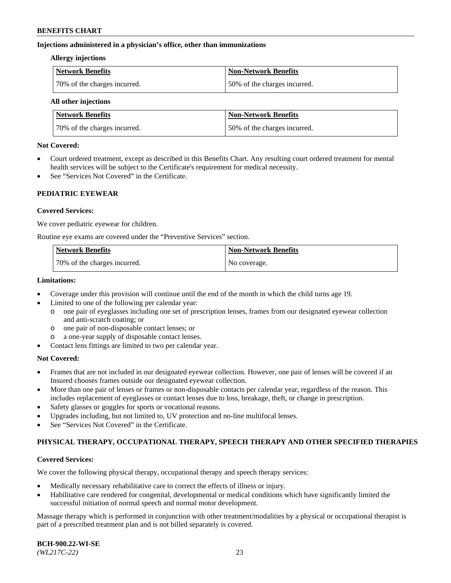### **Injections administered in a physician's office, other than immunizations**

#### **Allergy injections**

| <b>Network Benefits</b>      | Non-Network Benefits         |
|------------------------------|------------------------------|
| 70% of the charges incurred. | 50% of the charges incurred. |

#### **All other injections**

| <b>Network Benefits</b>      | <b>Non-Network Benefits</b>  |
|------------------------------|------------------------------|
| 70% of the charges incurred. | 50% of the charges incurred. |

#### **Not Covered:**

- Court ordered treatment, except as described in this Benefits Chart. Any resulting court ordered treatment for mental health services will be subject to the Certificate's requirement for medical necessity.
- See "Services Not Covered" in the Certificate.

## **PEDIATRIC EYEWEAR**

#### **Covered Services:**

We cover pediatric eyewear for children.

Routine eye exams are covered under the "Preventive Services" section.

| <b>Network Benefits</b>      | <b>Non-Network Benefits</b> |
|------------------------------|-----------------------------|
| 70% of the charges incurred. | No coverage.                |

### **Limitations:**

- Coverage under this provision will continue until the end of the month in which the child turns age 19.
- Limited to one of the following per calendar year:
	- o one pair of eyeglasses including one set of prescription lenses, frames from our designated eyewear collection and anti-scratch coating; or
	- o one pair of non-disposable contact lenses; or
	- o a one-year supply of disposable contact lenses.
- Contact lens fittings are limited to two per calendar year.

## **Not Covered:**

- Frames that are not included in our designated eyewear collection. However, one pair of lenses will be covered if an Insured chooses frames outside our designated eyewear collection.
- More than one pair of lenses or frames or non-disposable contacts per calendar year, regardless of the reason. This includes replacement of eyeglasses or contact lenses due to loss, breakage, theft, or change in prescription.
- Safety glasses or goggles for sports or vocational reasons.
- Upgrades including, but not limited to, UV protection and no-line multifocal lenses.
- See "Services Not Covered" in the Certificate.

## **PHYSICAL THERAPY, OCCUPATIONAL THERAPY, SPEECH THERAPY AND OTHER SPECIFIED THERAPIES**

## **Covered Services:**

We cover the following physical therapy, occupational therapy and speech therapy services:

- Medically necessary rehabilitative care to correct the effects of illness or injury.
- Habilitative care rendered for congenital, developmental or medical conditions which have significantly limited the successful initiation of normal speech and normal motor development.

Massage therapy which is performed in conjunction with other treatment/modalities by a physical or occupational therapist is part of a prescribed treatment plan and is not billed separately is covered.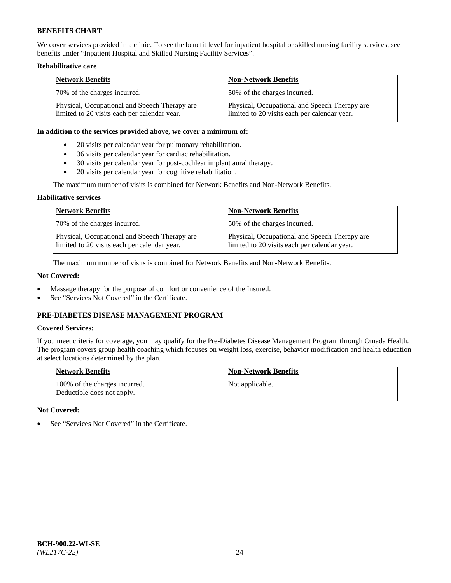We cover services provided in a clinic. To see the benefit level for inpatient hospital or skilled nursing facility services, see benefits under "Inpatient Hospital and Skilled Nursing Facility Services".

## **Rehabilitative care**

| <b>Network Benefits</b>                                                                       | <b>Non-Network Benefits</b>                                                                   |
|-----------------------------------------------------------------------------------------------|-----------------------------------------------------------------------------------------------|
| 70% of the charges incurred.                                                                  | 50% of the charges incurred.                                                                  |
| Physical, Occupational and Speech Therapy are<br>limited to 20 visits each per calendar year. | Physical, Occupational and Speech Therapy are<br>limited to 20 visits each per calendar year. |

#### **In addition to the services provided above, we cover a minimum of:**

- 20 visits per calendar year for pulmonary rehabilitation.
- 36 visits per calendar year for cardiac rehabilitation.
- 30 visits per calendar year for post-cochlear implant aural therapy.
- 20 visits per calendar year for cognitive rehabilitation.

The maximum number of visits is combined for Network Benefits and Non-Network Benefits.

## **Habilitative services**

| <b>Network Benefits</b>                                                                       | <b>Non-Network Benefits</b>                                                                   |
|-----------------------------------------------------------------------------------------------|-----------------------------------------------------------------------------------------------|
| 70% of the charges incurred.                                                                  | 50% of the charges incurred.                                                                  |
| Physical, Occupational and Speech Therapy are<br>limited to 20 visits each per calendar year. | Physical, Occupational and Speech Therapy are<br>limited to 20 visits each per calendar year. |

The maximum number of visits is combined for Network Benefits and Non-Network Benefits.

## **Not Covered:**

- Massage therapy for the purpose of comfort or convenience of the Insured.
- See "Services Not Covered" in the Certificate.

## **PRE-DIABETES DISEASE MANAGEMENT PROGRAM**

## **Covered Services:**

If you meet criteria for coverage, you may qualify for the Pre-Diabetes Disease Management Program through Omada Health. The program covers group health coaching which focuses on weight loss, exercise, behavior modification and health education at select locations determined by the plan.

| <b>Network Benefits</b>                                     | <b>Non-Network Benefits</b> |
|-------------------------------------------------------------|-----------------------------|
| 100% of the charges incurred.<br>Deductible does not apply. | Not applicable.             |

## **Not Covered:**

See "Services Not Covered" in the Certificate.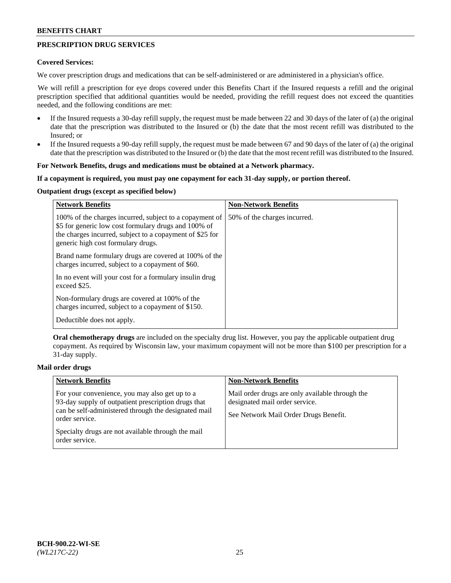## **PRESCRIPTION DRUG SERVICES**

### **Covered Services:**

We cover prescription drugs and medications that can be self-administered or are administered in a physician's office.

We will refill a prescription for eye drops covered under this Benefits Chart if the Insured requests a refill and the original prescription specified that additional quantities would be needed, providing the refill request does not exceed the quantities needed, and the following conditions are met:

- If the Insured requests a 30-day refill supply, the request must be made between 22 and 30 days of the later of (a) the original date that the prescription was distributed to the Insured or (b) the date that the most recent refill was distributed to the Insured; or
- If the Insured requests a 90-day refill supply, the request must be made between 67 and 90 days of the later of (a) the original date that the prescription was distributed to the Insured or (b) the date that the most recent refill was distributed to the Insured.

### **For Network Benefits, drugs and medications must be obtained at a Network pharmacy.**

#### **If a copayment is required, you must pay one copayment for each 31-day supply, or portion thereof.**

## **Outpatient drugs (except as specified below)**

| <b>Network Benefits</b>                                                                                                                                                                                           | <b>Non-Network Benefits</b>  |
|-------------------------------------------------------------------------------------------------------------------------------------------------------------------------------------------------------------------|------------------------------|
| 100% of the charges incurred, subject to a copayment of<br>\$5 for generic low cost formulary drugs and 100% of<br>the charges incurred, subject to a copayment of \$25 for<br>generic high cost formulary drugs. | 50% of the charges incurred. |
| Brand name formulary drugs are covered at 100% of the<br>charges incurred, subject to a copayment of \$60.                                                                                                        |                              |
| In no event will your cost for a formulary insulin drug<br>exceed \$25.                                                                                                                                           |                              |
| Non-formulary drugs are covered at 100% of the<br>charges incurred, subject to a copayment of \$150.                                                                                                              |                              |
| Deductible does not apply.                                                                                                                                                                                        |                              |

**Oral chemotherapy drugs** are included on the specialty drug list. However, you pay the applicable outpatient drug copayment. As required by Wisconsin law, your maximum copayment will not be more than \$100 per prescription for a 31-day supply.

## **Mail order drugs**

| <b>Network Benefits</b>                                                                                                                                                         | <b>Non-Network Benefits</b>                                                                                                |
|---------------------------------------------------------------------------------------------------------------------------------------------------------------------------------|----------------------------------------------------------------------------------------------------------------------------|
| For your convenience, you may also get up to a<br>93-day supply of outpatient prescription drugs that<br>can be self-administered through the designated mail<br>order service. | Mail order drugs are only available through the<br>designated mail order service.<br>See Network Mail Order Drugs Benefit. |
| Specialty drugs are not available through the mail<br>order service.                                                                                                            |                                                                                                                            |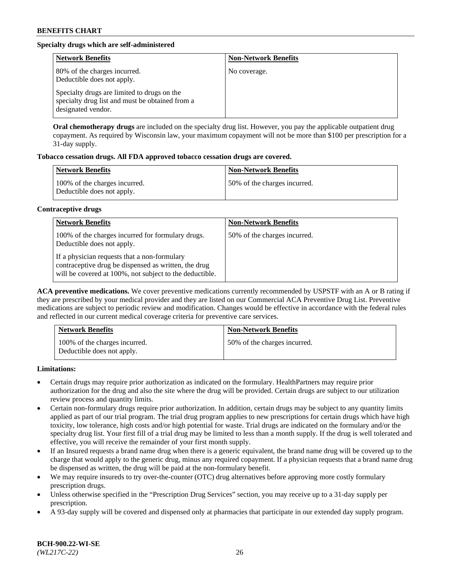## **Specialty drugs which are self-administered**

| <b>Network Benefits</b>                                                                                              | <b>Non-Network Benefits</b> |
|----------------------------------------------------------------------------------------------------------------------|-----------------------------|
| 80% of the charges incurred.<br>Deductible does not apply.                                                           | No coverage.                |
| Specialty drugs are limited to drugs on the<br>specialty drug list and must be obtained from a<br>designated vendor. |                             |

**Oral chemotherapy drugs** are included on the specialty drug list. However, you pay the applicable outpatient drug copayment. As required by Wisconsin law, your maximum copayment will not be more than \$100 per prescription for a 31-day supply.

## **Tobacco cessation drugs. All FDA approved tobacco cessation drugs are covered.**

| <b>Network Benefits</b>                                     | <b>Non-Network Benefits</b>  |
|-------------------------------------------------------------|------------------------------|
| 100% of the charges incurred.<br>Deductible does not apply. | 50% of the charges incurred. |

#### **Contraceptive drugs**

| <b>Network Benefits</b>                                                                                                                                         | <b>Non-Network Benefits</b>  |
|-----------------------------------------------------------------------------------------------------------------------------------------------------------------|------------------------------|
| 100% of the charges incurred for formulary drugs.<br>Deductible does not apply.                                                                                 | 50% of the charges incurred. |
| If a physician requests that a non-formulary<br>contraceptive drug be dispensed as written, the drug<br>will be covered at 100%, not subject to the deductible. |                              |

**ACA preventive medications.** We cover preventive medications currently recommended by USPSTF with an A or B rating if they are prescribed by your medical provider and they are listed on our Commercial ACA Preventive Drug List. Preventive medications are subject to periodic review and modification. Changes would be effective in accordance with the federal rules and reflected in our current medical coverage criteria for preventive care services.

| <b>Network Benefits</b>                                     | <b>Non-Network Benefits</b>  |
|-------------------------------------------------------------|------------------------------|
| 100% of the charges incurred.<br>Deductible does not apply. | 50% of the charges incurred. |

**Limitations:**

- Certain drugs may require prior authorization as indicated on the formulary. HealthPartners may require prior authorization for the drug and also the site where the drug will be provided. Certain drugs are subject to our utilization review process and quantity limits.
- Certain non-formulary drugs require prior authorization. In addition, certain drugs may be subject to any quantity limits applied as part of our trial program. The trial drug program applies to new prescriptions for certain drugs which have high toxicity, low tolerance, high costs and/or high potential for waste. Trial drugs are indicated on the formulary and/or the specialty drug list. Your first fill of a trial drug may be limited to less than a month supply. If the drug is well tolerated and effective, you will receive the remainder of your first month supply.
- If an Insured requests a brand name drug when there is a generic equivalent, the brand name drug will be covered up to the charge that would apply to the generic drug, minus any required copayment. If a physician requests that a brand name drug be dispensed as written, the drug will be paid at the non-formulary benefit.
- We may require insureds to try over-the-counter (OTC) drug alternatives before approving more costly formulary prescription drugs.
- Unless otherwise specified in the "Prescription Drug Services" section, you may receive up to a 31-day supply per prescription.
- A 93-day supply will be covered and dispensed only at pharmacies that participate in our extended day supply program.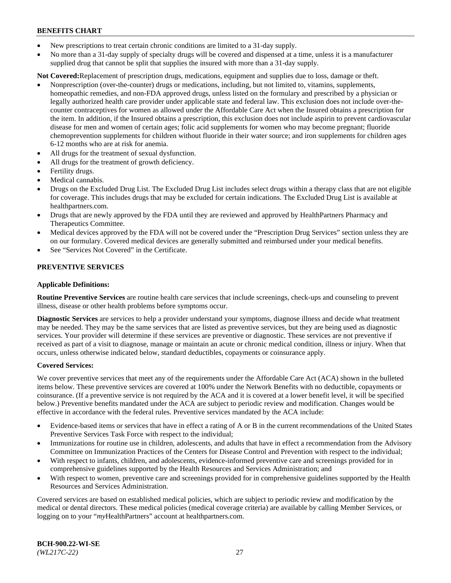- New prescriptions to treat certain chronic conditions are limited to a 31-day supply.
- No more than a 31-day supply of specialty drugs will be covered and dispensed at a time, unless it is a manufacturer supplied drug that cannot be split that supplies the insured with more than a 31-day supply.

**Not Covered:**Replacement of prescription drugs, medications, equipment and supplies due to loss, damage or theft.

- Nonprescription (over-the-counter) drugs or medications, including, but not limited to, vitamins, supplements, homeopathic remedies, and non-FDA approved drugs, unless listed on the formulary and prescribed by a physician or legally authorized health care provider under applicable state and federal law. This exclusion does not include over-thecounter contraceptives for women as allowed under the Affordable Care Act when the Insured obtains a prescription for the item. In addition, if the Insured obtains a prescription, this exclusion does not include aspirin to prevent cardiovascular disease for men and women of certain ages; folic acid supplements for women who may become pregnant; fluoride chemoprevention supplements for children without fluoride in their water source; and iron supplements for children ages 6-12 months who are at risk for anemia.
- All drugs for the treatment of sexual dysfunction.
- All drugs for the treatment of growth deficiency.
- Fertility drugs.
- Medical cannabis.
- Drugs on the Excluded Drug List. The Excluded Drug List includes select drugs within a therapy class that are not eligible for coverage. This includes drugs that may be excluded for certain indications. The Excluded Drug List is available at [healthpartners.com.](http://www.healthpartners.com/)
- Drugs that are newly approved by the FDA until they are reviewed and approved by HealthPartners Pharmacy and Therapeutics Committee.
- Medical devices approved by the FDA will not be covered under the "Prescription Drug Services" section unless they are on our formulary. Covered medical devices are generally submitted and reimbursed under your medical benefits.
- See "Services Not Covered" in the Certificate.

## **PREVENTIVE SERVICES**

#### **Applicable Definitions:**

**Routine Preventive Services** are routine health care services that include screenings, check-ups and counseling to prevent illness, disease or other health problems before symptoms occur.

**Diagnostic Services** are services to help a provider understand your symptoms, diagnose illness and decide what treatment may be needed. They may be the same services that are listed as preventive services, but they are being used as diagnostic services. Your provider will determine if these services are preventive or diagnostic. These services are not preventive if received as part of a visit to diagnose, manage or maintain an acute or chronic medical condition, illness or injury. When that occurs, unless otherwise indicated below, standard deductibles, copayments or coinsurance apply.

#### **Covered Services:**

We cover preventive services that meet any of the requirements under the Affordable Care Act (ACA) shown in the bulleted items below. These preventive services are covered at 100% under the Network Benefits with no deductible, copayments or coinsurance. (If a preventive service is not required by the ACA and it is covered at a lower benefit level, it will be specified below.) Preventive benefits mandated under the ACA are subject to periodic review and modification. Changes would be effective in accordance with the federal rules. Preventive services mandated by the ACA include:

- Evidence-based items or services that have in effect a rating of A or B in the current recommendations of the United States Preventive Services Task Force with respect to the individual;
- Immunizations for routine use in children, adolescents, and adults that have in effect a recommendation from the Advisory Committee on Immunization Practices of the Centers for Disease Control and Prevention with respect to the individual;
- With respect to infants, children, and adolescents, evidence-informed preventive care and screenings provided for in comprehensive guidelines supported by the Health Resources and Services Administration; and
- With respect to women, preventive care and screenings provided for in comprehensive guidelines supported by the Health Resources and Services Administration.

Covered services are based on established medical policies, which are subject to periodic review and modification by the medical or dental directors. These medical policies (medical coverage criteria) are available by calling Member Services, or logging on to your "*my*HealthPartners" account at [healthpartners.com.](https://www.healthpartners.com/hp/index.html)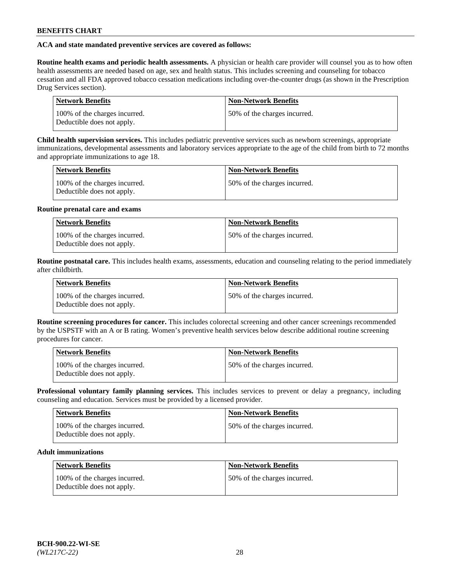## **ACA and state mandated preventive services are covered as follows:**

**Routine health exams and periodic health assessments.** A physician or health care provider will counsel you as to how often health assessments are needed based on age, sex and health status. This includes screening and counseling for tobacco cessation and all FDA approved tobacco cessation medications including over-the-counter drugs (as shown in the Prescription Drug Services section).

| <b>Network Benefits</b>                                     | <b>Non-Network Benefits</b>   |
|-------------------------------------------------------------|-------------------------------|
| 100% of the charges incurred.<br>Deductible does not apply. | 150% of the charges incurred. |

**Child health supervision services.** This includes pediatric preventive services such as newborn screenings, appropriate immunizations, developmental assessments and laboratory services appropriate to the age of the child from birth to 72 months and appropriate immunizations to age 18.

| <b>Network Benefits</b>                                     | <b>Non-Network Benefits</b>  |
|-------------------------------------------------------------|------------------------------|
| 100% of the charges incurred.<br>Deductible does not apply. | 50% of the charges incurred. |

## **Routine prenatal care and exams**

| <b>Network Benefits</b>                                     | <b>Non-Network Benefits</b>  |
|-------------------------------------------------------------|------------------------------|
| 100% of the charges incurred.<br>Deductible does not apply. | 50% of the charges incurred. |

**Routine postnatal care.** This includes health exams, assessments, education and counseling relating to the period immediately after childbirth.

| <b>Network Benefits</b>                                     | <b>Non-Network Benefits</b>  |
|-------------------------------------------------------------|------------------------------|
| 100% of the charges incurred.<br>Deductible does not apply. | 50% of the charges incurred. |

**Routine screening procedures for cancer.** This includes colorectal screening and other cancer screenings recommended by the USPSTF with an A or B rating. Women's preventive health services below describe additional routine screening procedures for cancer.

| <b>Network Benefits</b>                                     | <b>Non-Network Benefits</b>   |
|-------------------------------------------------------------|-------------------------------|
| 100% of the charges incurred.<br>Deductible does not apply. | 150% of the charges incurred. |

**Professional voluntary family planning services.** This includes services to prevent or delay a pregnancy, including counseling and education. Services must be provided by a licensed provider.

| <b>Network Benefits</b>                                     | <b>Non-Network Benefits</b>  |
|-------------------------------------------------------------|------------------------------|
| 100% of the charges incurred.<br>Deductible does not apply. | 50% of the charges incurred. |

## **Adult immunizations**

| Network Benefits                                            | <b>Non-Network Benefits</b>  |
|-------------------------------------------------------------|------------------------------|
| 100% of the charges incurred.<br>Deductible does not apply. | 50% of the charges incurred. |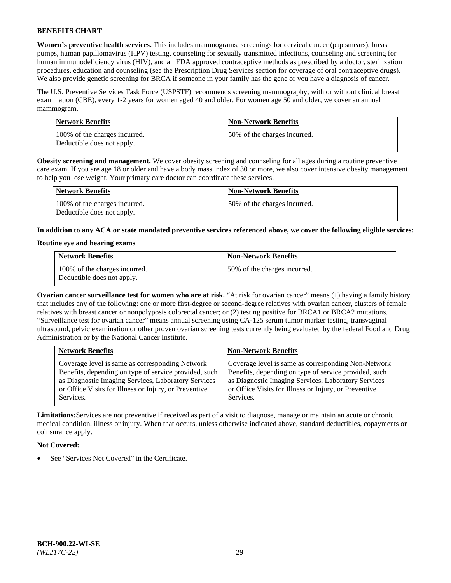**Women's preventive health services.** This includes mammograms, screenings for cervical cancer (pap smears), breast pumps, human papillomavirus (HPV) testing, counseling for sexually transmitted infections, counseling and screening for human immunodeficiency virus (HIV), and all FDA approved contraceptive methods as prescribed by a doctor, sterilization procedures, education and counseling (see the Prescription Drug Services section for coverage of oral contraceptive drugs). We also provide genetic screening for BRCA if someone in your family has the gene or you have a diagnosis of cancer.

The U.S. Preventive Services Task Force (USPSTF) recommends screening mammography, with or without clinical breast examination (CBE), every 1-2 years for women aged 40 and older. For women age 50 and older, we cover an annual mammogram.

| <b>Network Benefits</b>                                     | <b>Non-Network Benefits</b>  |
|-------------------------------------------------------------|------------------------------|
| 100% of the charges incurred.<br>Deductible does not apply. | 50% of the charges incurred. |

**Obesity screening and management.** We cover obesity screening and counseling for all ages during a routine preventive care exam. If you are age 18 or older and have a body mass index of 30 or more, we also cover intensive obesity management to help you lose weight. Your primary care doctor can coordinate these services.

| Network Benefits                                            | <b>Non-Network Benefits</b>  |
|-------------------------------------------------------------|------------------------------|
| 100% of the charges incurred.<br>Deductible does not apply. | 50% of the charges incurred. |

**In addition to any ACA or state mandated preventive services referenced above, we cover the following eligible services:**

#### **Routine eye and hearing exams**

| <b>Network Benefits</b>                                     | <b>Non-Network Benefits</b>  |
|-------------------------------------------------------------|------------------------------|
| 100% of the charges incurred.<br>Deductible does not apply. | 50% of the charges incurred. |

**Ovarian cancer surveillance test for women who are at risk.** "At risk for ovarian cancer" means (1) having a family history that includes any of the following: one or more first-degree or second-degree relatives with ovarian cancer, clusters of female relatives with breast cancer or nonpolyposis colorectal cancer; or (2) testing positive for BRCA1 or BRCA2 mutations. "Surveillance test for ovarian cancer" means annual screening using CA-125 serum tumor marker testing, transvaginal ultrasound, pelvic examination or other proven ovarian screening tests currently being evaluated by the federal Food and Drug Administration or by the National Cancer Institute.

| <b>Network Benefits</b>                               | <b>Non-Network Benefits</b>                           |
|-------------------------------------------------------|-------------------------------------------------------|
| Coverage level is same as corresponding Network       | Coverage level is same as corresponding Non-Network   |
| Benefits, depending on type of service provided, such | Benefits, depending on type of service provided, such |
| as Diagnostic Imaging Services, Laboratory Services   | as Diagnostic Imaging Services, Laboratory Services   |
| or Office Visits for Illness or Injury, or Preventive | or Office Visits for Illness or Injury, or Preventive |
| Services.                                             | Services.                                             |

**Limitations:**Services are not preventive if received as part of a visit to diagnose, manage or maintain an acute or chronic medical condition, illness or injury. When that occurs, unless otherwise indicated above, standard deductibles, copayments or coinsurance apply.

## **Not Covered:**

See "Services Not Covered" in the Certificate.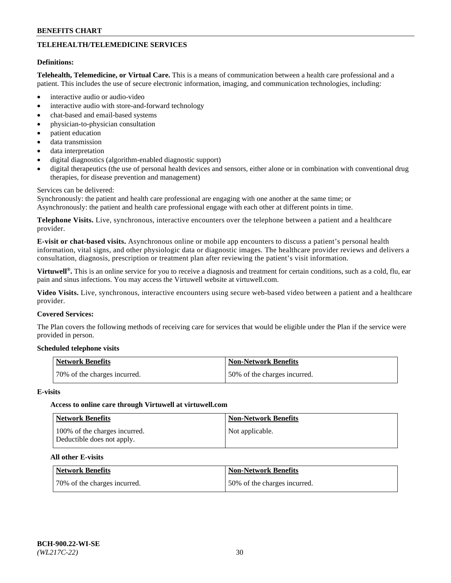## **TELEHEALTH/TELEMEDICINE SERVICES**

#### **Definitions:**

**Telehealth, Telemedicine, or Virtual Care.** This is a means of communication between a health care professional and a patient. This includes the use of secure electronic information, imaging, and communication technologies, including:

- interactive audio or audio-video
- interactive audio with store-and-forward technology
- chat-based and email-based systems
- physician-to-physician consultation
- patient education
- data transmission
- data interpretation
- digital diagnostics (algorithm-enabled diagnostic support)
- digital therapeutics (the use of personal health devices and sensors, either alone or in combination with conventional drug therapies, for disease prevention and management)

#### Services can be delivered:

Synchronously: the patient and health care professional are engaging with one another at the same time; or Asynchronously: the patient and health care professional engage with each other at different points in time.

**Telephone Visits.** Live, synchronous, interactive encounters over the telephone between a patient and a healthcare provider.

**E-visit or chat-based visits.** Asynchronous online or mobile app encounters to discuss a patient's personal health information, vital signs, and other physiologic data or diagnostic images. The healthcare provider reviews and delivers a consultation, diagnosis, prescription or treatment plan after reviewing the patient's visit information.

**Virtuwell®.** This is an online service for you to receive a diagnosis and treatment for certain conditions, such as a cold, flu, ear pain and sinus infections. You may access the Virtuwell website at [virtuwell.com.](https://www.virtuwell.com/)

**Video Visits.** Live, synchronous, interactive encounters using secure web-based video between a patient and a healthcare provider.

#### **Covered Services:**

The Plan covers the following methods of receiving care for services that would be eligible under the Plan if the service were provided in person.

#### **Scheduled telephone visits**

| Network Benefits             | Non-Network Benefits         |
|------------------------------|------------------------------|
| 70% of the charges incurred. | 50% of the charges incurred. |

#### **E-visits**

## **Access to online care through Virtuwell at [virtuwell.com](https://www.virtuwell.com/)**

| <b>Network Benefits</b>                                     | <b>Non-Network Benefits</b> |
|-------------------------------------------------------------|-----------------------------|
| 100% of the charges incurred.<br>Deductible does not apply. | Not applicable.             |

## **All other E-visits**

| Network Benefits             | <b>Non-Network Benefits</b>  |
|------------------------------|------------------------------|
| 70% of the charges incurred. | 50% of the charges incurred. |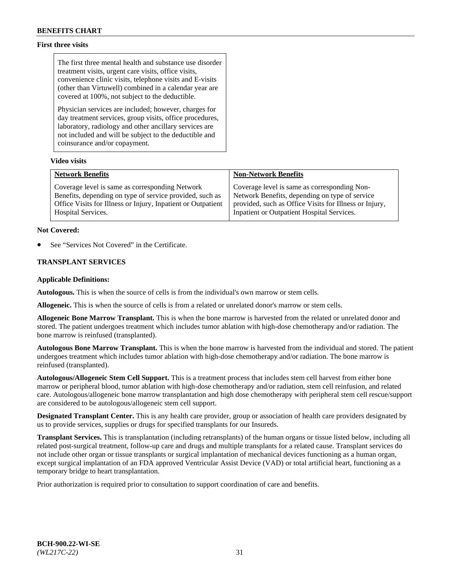## **First three visits**

The first three mental health and substance use disorder treatment visits, urgent care visits, office visits, convenience clinic visits, telephone visits and E-visits (other than Virtuwell) combined in a calendar year are covered at 100%, not subject to the deductible.

Physician services are included; however, charges for day treatment services, group visits, office procedures, laboratory, radiology and other ancillary services are not included and will be subject to the deductible and coinsurance and/or copayment.

#### **Video visits**

| <b>Network Benefits</b>                                      | <b>Non-Network Benefits</b>                            |
|--------------------------------------------------------------|--------------------------------------------------------|
| Coverage level is same as corresponding Network              | Coverage level is same as corresponding Non-           |
| Benefits, depending on type of service provided, such as     | Network Benefits, depending on type of service         |
| Office Visits for Illness or Injury, Inpatient or Outpatient | provided, such as Office Visits for Illness or Injury, |
| Hospital Services.                                           | Inpatient or Outpatient Hospital Services.             |

#### **Not Covered:**

See "Services Not Covered" in the Certificate.

## **TRANSPLANT SERVICES**

#### **Applicable Definitions:**

**Autologous.** This is when the source of cells is from the individual's own marrow or stem cells.

**Allogeneic.** This is when the source of cells is from a related or unrelated donor's marrow or stem cells.

**Allogeneic Bone Marrow Transplant.** This is when the bone marrow is harvested from the related or unrelated donor and stored. The patient undergoes treatment which includes tumor ablation with high-dose chemotherapy and/or radiation. The bone marrow is reinfused (transplanted).

**Autologous Bone Marrow Transplant.** This is when the bone marrow is harvested from the individual and stored. The patient undergoes treatment which includes tumor ablation with high-dose chemotherapy and/or radiation. The bone marrow is reinfused (transplanted).

**Autologous/Allogeneic Stem Cell Support.** This is a treatment process that includes stem cell harvest from either bone marrow or peripheral blood, tumor ablation with high-dose chemotherapy and/or radiation, stem cell reinfusion, and related care. Autologous/allogeneic bone marrow transplantation and high dose chemotherapy with peripheral stem cell rescue/support are considered to be autologous/allogeneic stem cell support.

**Designated Transplant Center.** This is any health care provider, group or association of health care providers designated by us to provide services, supplies or drugs for specified transplants for our Insureds.

**Transplant Services.** This is transplantation (including retransplants) of the human organs or tissue listed below, including all related post-surgical treatment, follow-up care and drugs and multiple transplants for a related cause. Transplant services do not include other organ or tissue transplants or surgical implantation of mechanical devices functioning as a human organ, except surgical implantation of an FDA approved Ventricular Assist Device (VAD) or total artificial heart, functioning as a temporary bridge to heart transplantation.

Prior authorization is required prior to consultation to support coordination of care and benefits.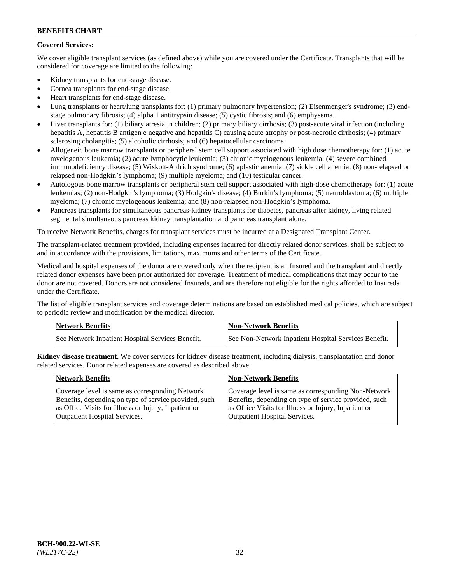## **Covered Services:**

We cover eligible transplant services (as defined above) while you are covered under the Certificate. Transplants that will be considered for coverage are limited to the following:

- Kidney transplants for end-stage disease.
- Cornea transplants for end-stage disease.
- Heart transplants for end-stage disease.
- Lung transplants or heart/lung transplants for: (1) primary pulmonary hypertension; (2) Eisenmenger's syndrome; (3) endstage pulmonary fibrosis; (4) alpha 1 antitrypsin disease; (5) cystic fibrosis; and (6) emphysema.
- Liver transplants for: (1) biliary atresia in children; (2) primary biliary cirrhosis; (3) post-acute viral infection (including hepatitis A, hepatitis B antigen e negative and hepatitis C) causing acute atrophy or post-necrotic cirrhosis; (4) primary sclerosing cholangitis; (5) alcoholic cirrhosis; and (6) hepatocellular carcinoma.
- Allogeneic bone marrow transplants or peripheral stem cell support associated with high dose chemotherapy for: (1) acute myelogenous leukemia; (2) acute lymphocytic leukemia; (3) chronic myelogenous leukemia; (4) severe combined immunodeficiency disease; (5) Wiskott-Aldrich syndrome; (6) aplastic anemia; (7) sickle cell anemia; (8) non-relapsed or relapsed non-Hodgkin's lymphoma; (9) multiple myeloma; and (10) testicular cancer.
- Autologous bone marrow transplants or peripheral stem cell support associated with high-dose chemotherapy for: (1) acute leukemias; (2) non-Hodgkin's lymphoma; (3) Hodgkin's disease; (4) Burkitt's lymphoma; (5) neuroblastoma; (6) multiple myeloma; (7) chronic myelogenous leukemia; and (8) non-relapsed non-Hodgkin's lymphoma.
- Pancreas transplants for simultaneous pancreas-kidney transplants for diabetes, pancreas after kidney, living related segmental simultaneous pancreas kidney transplantation and pancreas transplant alone.

To receive Network Benefits, charges for transplant services must be incurred at a Designated Transplant Center.

The transplant-related treatment provided, including expenses incurred for directly related donor services, shall be subject to and in accordance with the provisions, limitations, maximums and other terms of the Certificate.

Medical and hospital expenses of the donor are covered only when the recipient is an Insured and the transplant and directly related donor expenses have been prior authorized for coverage. Treatment of medical complications that may occur to the donor are not covered. Donors are not considered Insureds, and are therefore not eligible for the rights afforded to Insureds under the Certificate.

The list of eligible transplant services and coverage determinations are based on established medical policies, which are subject to periodic review and modification by the medical director.

| <b>Network Benefits</b>                          | <b>Non-Network Benefits</b>                          |
|--------------------------------------------------|------------------------------------------------------|
| See Network Inpatient Hospital Services Benefit. | See Non-Network Inpatient Hospital Services Benefit. |

**Kidney disease treatment.** We cover services for kidney disease treatment, including dialysis, transplantation and donor related services. Donor related expenses are covered as described above.

| <b>Network Benefits</b>                               | <b>Non-Network Benefits</b>                           |
|-------------------------------------------------------|-------------------------------------------------------|
| Coverage level is same as corresponding Network       | Coverage level is same as corresponding Non-Network   |
| Benefits, depending on type of service provided, such | Benefits, depending on type of service provided, such |
| as Office Visits for Illness or Injury, Inpatient or  | as Office Visits for Illness or Injury, Inpatient or  |
| <b>Outpatient Hospital Services.</b>                  | <b>Outpatient Hospital Services.</b>                  |